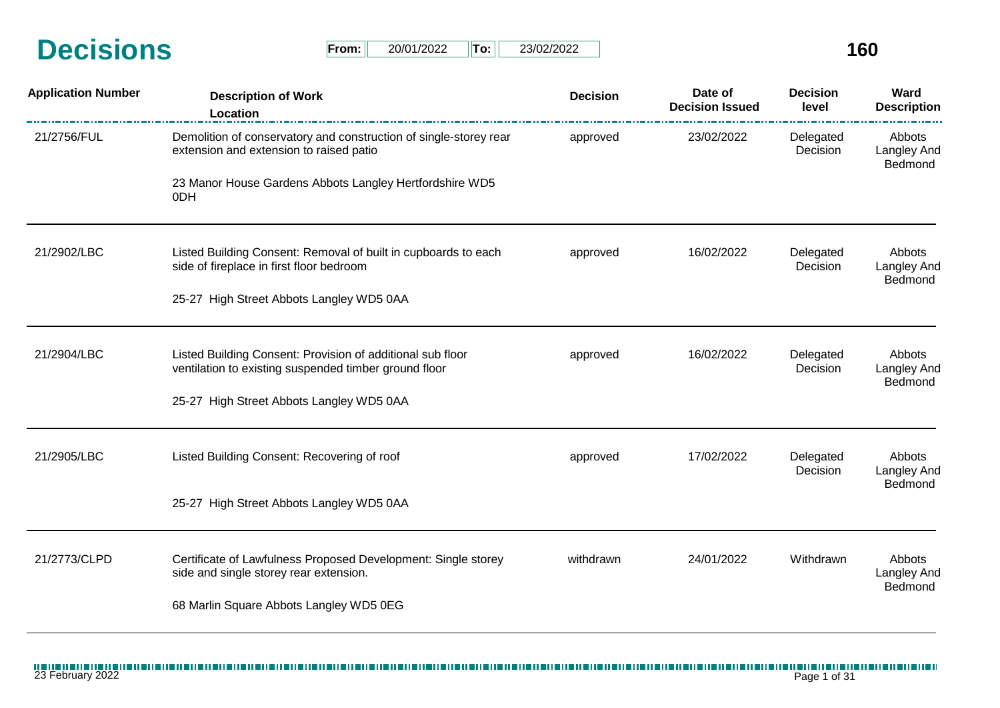| <b>Decisions</b> | From: | 20/01/2022 | $T$ o: | 23/02/2022 | $\sim$<br><b>DI</b> |
|------------------|-------|------------|--------|------------|---------------------|
|                  |       |            |        |            |                     |

| $From: \Box$ | 20/01/2022 | ⊪To: I | 23/02/2022 |
|--------------|------------|--------|------------|
|--------------|------------|--------|------------|

| <b>Application Number</b> | <b>Description of Work</b><br>Location                                                                              | <b>Decision</b> | Date of<br><b>Decision Issued</b> | <b>Decision</b><br>level | Ward<br><b>Description</b>              |
|---------------------------|---------------------------------------------------------------------------------------------------------------------|-----------------|-----------------------------------|--------------------------|-----------------------------------------|
| 21/2756/FUL               | Demolition of conservatory and construction of single-storey rear<br>extension and extension to raised patio        | approved        | 23/02/2022                        | Delegated<br>Decision    | Abbots<br>Langley And<br>Bedmond        |
|                           | 23 Manor House Gardens Abbots Langley Hertfordshire WD5<br>0DH                                                      |                 |                                   |                          |                                         |
| 21/2902/LBC               | Listed Building Consent: Removal of built in cupboards to each<br>side of fireplace in first floor bedroom          | approved        | 16/02/2022                        | Delegated<br>Decision    | Abbots<br><b>Langley And</b><br>Bedmond |
|                           | 25-27 High Street Abbots Langley WD5 0AA                                                                            |                 |                                   |                          |                                         |
| 21/2904/LBC               | Listed Building Consent: Provision of additional sub floor<br>ventilation to existing suspended timber ground floor | approved        | 16/02/2022                        | Delegated<br>Decision    | Abbots<br>Langley And                   |
|                           | 25-27 High Street Abbots Langley WD5 0AA                                                                            |                 |                                   |                          | Bedmond                                 |
| 21/2905/LBC               | Listed Building Consent: Recovering of roof                                                                         | approved        | 17/02/2022                        | Delegated<br>Decision    | Abbots<br>Langley And                   |
|                           | 25-27 High Street Abbots Langley WD5 0AA                                                                            |                 |                                   |                          | Bedmond                                 |
| 21/2773/CLPD              | Certificate of Lawfulness Proposed Development: Single storey<br>side and single storey rear extension.             | withdrawn       | 24/01/2022                        | Withdrawn                | Abbots<br>Langley And                   |
|                           | 68 Marlin Square Abbots Langley WD5 0EG                                                                             |                 |                                   |                          | Bedmond                                 |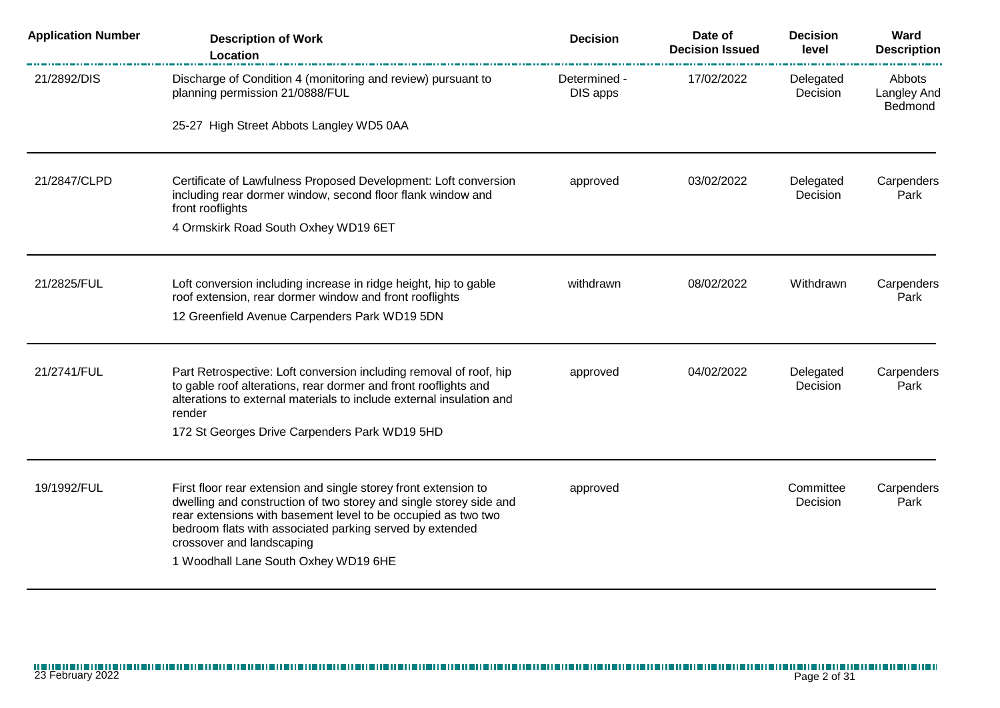| <b>Application Number</b> | <b>Description of Work</b><br>Location                                                                                                                                                                                                                                                                                                  | <b>Decision</b>          | Date of<br><b>Decision Issued</b> | <b>Decision</b><br>level | Ward<br><b>Description</b>              |
|---------------------------|-----------------------------------------------------------------------------------------------------------------------------------------------------------------------------------------------------------------------------------------------------------------------------------------------------------------------------------------|--------------------------|-----------------------------------|--------------------------|-----------------------------------------|
| 21/2892/DIS               | Discharge of Condition 4 (monitoring and review) pursuant to<br>planning permission 21/0888/FUL                                                                                                                                                                                                                                         | Determined -<br>DIS apps | 17/02/2022                        | Delegated<br>Decision    | Abbots<br><b>Langley And</b><br>Bedmond |
|                           | 25-27 High Street Abbots Langley WD5 0AA                                                                                                                                                                                                                                                                                                |                          |                                   |                          |                                         |
| 21/2847/CLPD              | Certificate of Lawfulness Proposed Development: Loft conversion<br>including rear dormer window, second floor flank window and<br>front rooflights                                                                                                                                                                                      | approved                 | 03/02/2022                        | Delegated<br>Decision    | Carpenders<br>Park                      |
|                           | 4 Ormskirk Road South Oxhey WD19 6ET                                                                                                                                                                                                                                                                                                    |                          |                                   |                          |                                         |
| 21/2825/FUL               | Loft conversion including increase in ridge height, hip to gable<br>roof extension, rear dormer window and front rooflights                                                                                                                                                                                                             | withdrawn                | 08/02/2022                        | Withdrawn                | Carpenders<br>Park                      |
|                           | 12 Greenfield Avenue Carpenders Park WD19 5DN                                                                                                                                                                                                                                                                                           |                          |                                   |                          |                                         |
| 21/2741/FUL               | Part Retrospective: Loft conversion including removal of roof, hip<br>to gable roof alterations, rear dormer and front rooflights and<br>alterations to external materials to include external insulation and<br>render                                                                                                                 | approved                 | 04/02/2022                        | Delegated<br>Decision    | Carpenders<br>Park                      |
|                           | 172 St Georges Drive Carpenders Park WD19 5HD                                                                                                                                                                                                                                                                                           |                          |                                   |                          |                                         |
| 19/1992/FUL               | First floor rear extension and single storey front extension to<br>dwelling and construction of two storey and single storey side and<br>rear extensions with basement level to be occupied as two two<br>bedroom flats with associated parking served by extended<br>crossover and landscaping<br>1 Woodhall Lane South Oxhey WD19 6HE | approved                 |                                   | Committee<br>Decision    | Carpenders<br>Park                      |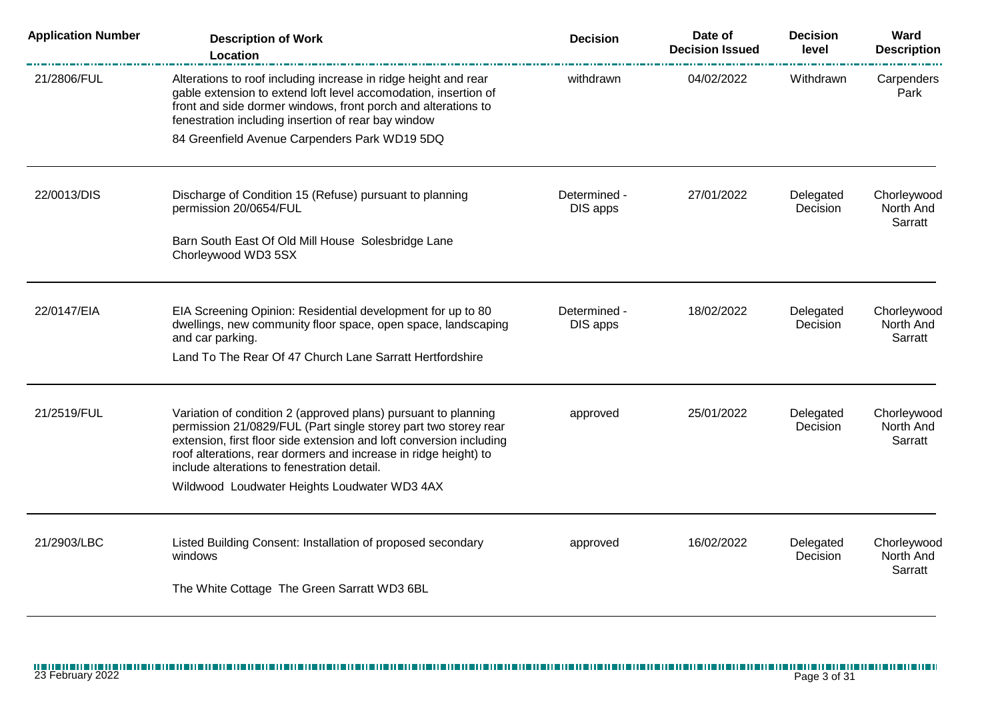| <b>Application Number</b> | <b>Description of Work</b><br>Location                                                                                                                                                                                                                                                                                                                                     | <b>Decision</b>          | Date of<br><b>Decision Issued</b> | <b>Decision</b><br>level | Ward<br><b>Description</b>          |
|---------------------------|----------------------------------------------------------------------------------------------------------------------------------------------------------------------------------------------------------------------------------------------------------------------------------------------------------------------------------------------------------------------------|--------------------------|-----------------------------------|--------------------------|-------------------------------------|
| 21/2806/FUL               | Alterations to roof including increase in ridge height and rear<br>gable extension to extend loft level accomodation, insertion of<br>front and side dormer windows, front porch and alterations to<br>fenestration including insertion of rear bay window                                                                                                                 | withdrawn                | 04/02/2022                        | Withdrawn                | Carpenders<br>Park                  |
|                           | 84 Greenfield Avenue Carpenders Park WD19 5DQ                                                                                                                                                                                                                                                                                                                              |                          |                                   |                          |                                     |
| 22/0013/DIS               | Discharge of Condition 15 (Refuse) pursuant to planning<br>permission 20/0654/FUL                                                                                                                                                                                                                                                                                          | Determined -<br>DIS apps | 27/01/2022                        | Delegated<br>Decision    | Chorleywood<br>North And<br>Sarratt |
|                           | Barn South East Of Old Mill House Solesbridge Lane<br>Chorleywood WD3 5SX                                                                                                                                                                                                                                                                                                  |                          |                                   |                          |                                     |
| 22/0147/EIA               | EIA Screening Opinion: Residential development for up to 80<br>dwellings, new community floor space, open space, landscaping<br>and car parking.                                                                                                                                                                                                                           | Determined -<br>DIS apps | 18/02/2022                        | Delegated<br>Decision    | Chorleywood<br>North And<br>Sarratt |
|                           | Land To The Rear Of 47 Church Lane Sarratt Hertfordshire                                                                                                                                                                                                                                                                                                                   |                          |                                   |                          |                                     |
| 21/2519/FUL               | Variation of condition 2 (approved plans) pursuant to planning<br>permission 21/0829/FUL (Part single storey part two storey rear<br>extension, first floor side extension and loft conversion including<br>roof alterations, rear dormers and increase in ridge height) to<br>include alterations to fenestration detail.<br>Wildwood Loudwater Heights Loudwater WD3 4AX | approved                 | 25/01/2022                        | Delegated<br>Decision    | Chorleywood<br>North And<br>Sarratt |
| 21/2903/LBC               | Listed Building Consent: Installation of proposed secondary<br>windows                                                                                                                                                                                                                                                                                                     | approved                 | 16/02/2022                        | Delegated<br>Decision    | Chorleywood<br>North And<br>Sarratt |
|                           | The White Cottage The Green Sarratt WD3 6BL                                                                                                                                                                                                                                                                                                                                |                          |                                   |                          |                                     |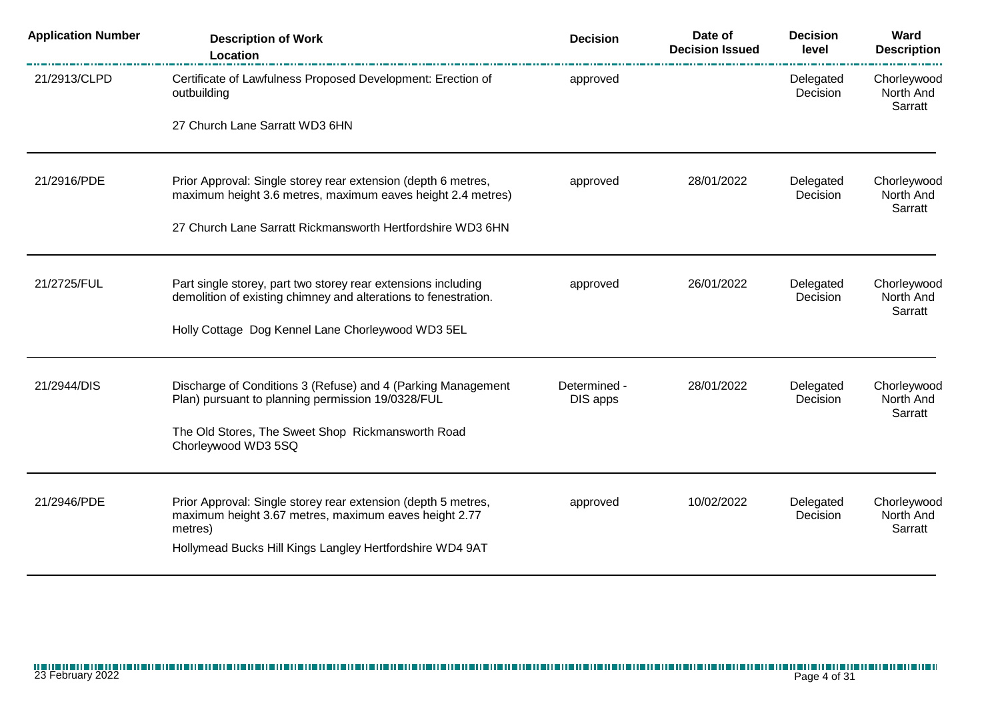| <b>Application Number</b> | <b>Description of Work</b><br>Location                                                                                           | <b>Decision</b>          | Date of<br><b>Decision Issued</b>   | <b>Decision</b><br>level | Ward<br><b>Description</b>          |
|---------------------------|----------------------------------------------------------------------------------------------------------------------------------|--------------------------|-------------------------------------|--------------------------|-------------------------------------|
| 21/2913/CLPD              | Certificate of Lawfulness Proposed Development: Erection of<br>outbuilding                                                       | approved                 |                                     | Delegated<br>Decision    | Chorleywood<br>North And<br>Sarratt |
|                           | 27 Church Lane Sarratt WD3 6HN                                                                                                   |                          |                                     |                          |                                     |
| 21/2916/PDE               | Prior Approval: Single storey rear extension (depth 6 metres,<br>maximum height 3.6 metres, maximum eaves height 2.4 metres)     | approved                 | 28/01/2022                          | Delegated<br>Decision    | Chorleywood<br>North And            |
|                           | 27 Church Lane Sarratt Rickmansworth Hertfordshire WD3 6HN                                                                       |                          |                                     |                          | Sarratt                             |
| 21/2725/FUL               | Part single storey, part two storey rear extensions including<br>demolition of existing chimney and alterations to fenestration. | approved                 | 26/01/2022<br>Delegated<br>Decision |                          | Chorleywood<br>North And<br>Sarratt |
|                           | Holly Cottage Dog Kennel Lane Chorleywood WD3 5EL                                                                                |                          |                                     |                          |                                     |
| 21/2944/DIS               | Discharge of Conditions 3 (Refuse) and 4 (Parking Management<br>Plan) pursuant to planning permission 19/0328/FUL                | Determined -<br>DIS apps | 28/01/2022                          | Delegated<br>Decision    | Chorleywood<br>North And            |
|                           | The Old Stores, The Sweet Shop Rickmansworth Road<br>Chorleywood WD3 5SQ                                                         |                          |                                     |                          | Sarratt                             |
| 21/2946/PDE               | Prior Approval: Single storey rear extension (depth 5 metres,<br>maximum height 3.67 metres, maximum eaves height 2.77           | approved                 | 10/02/2022                          | Delegated<br>Decision    | Chorleywood<br>North And            |
|                           | metres)<br>Hollymead Bucks Hill Kings Langley Hertfordshire WD4 9AT                                                              |                          |                                     |                          | Sarratt                             |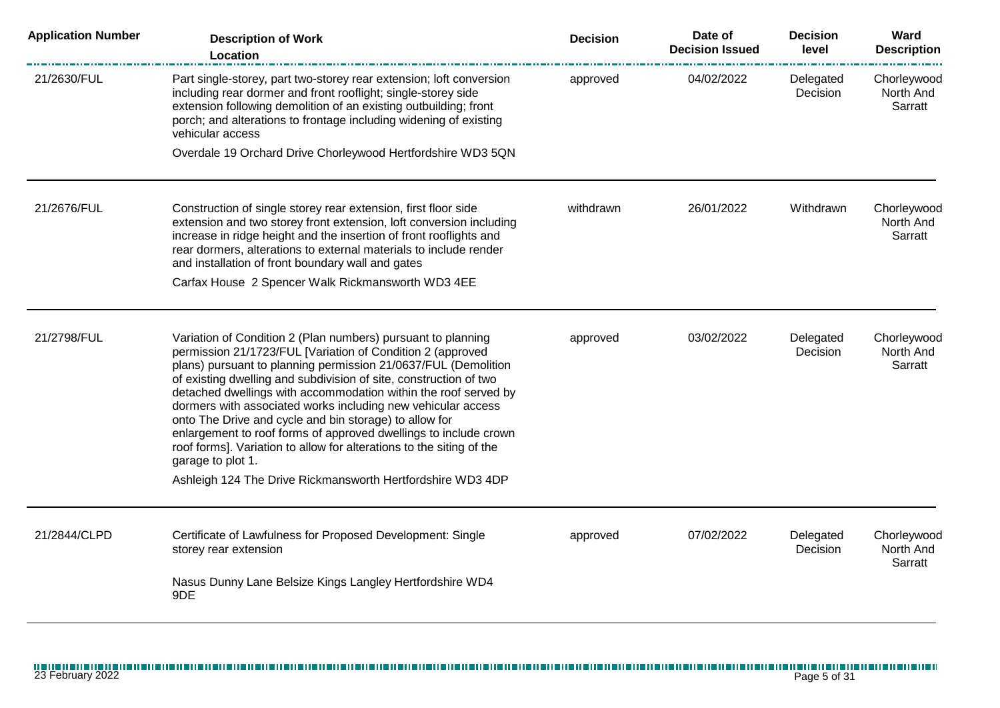| <b>Application Number</b> | <b>Description of Work</b><br>Location                                                                                                                                                                                                                                                                                                                                                                                                                                                                                                                                                                                                                                                        | <b>Decision</b> | Date of<br><b>Decision Issued</b> | <b>Decision</b><br>level | Ward<br><b>Description</b>          |
|---------------------------|-----------------------------------------------------------------------------------------------------------------------------------------------------------------------------------------------------------------------------------------------------------------------------------------------------------------------------------------------------------------------------------------------------------------------------------------------------------------------------------------------------------------------------------------------------------------------------------------------------------------------------------------------------------------------------------------------|-----------------|-----------------------------------|--------------------------|-------------------------------------|
| 21/2630/FUL               | Part single-storey, part two-storey rear extension; loft conversion<br>including rear dormer and front rooflight; single-storey side<br>extension following demolition of an existing outbuilding; front<br>porch; and alterations to frontage including widening of existing<br>vehicular access                                                                                                                                                                                                                                                                                                                                                                                             | approved        | 04/02/2022                        | Delegated<br>Decision    | Chorleywood<br>North And<br>Sarratt |
|                           | Overdale 19 Orchard Drive Chorleywood Hertfordshire WD3 5QN                                                                                                                                                                                                                                                                                                                                                                                                                                                                                                                                                                                                                                   |                 |                                   |                          |                                     |
| 21/2676/FUL               | Construction of single storey rear extension, first floor side<br>extension and two storey front extension, loft conversion including<br>increase in ridge height and the insertion of front rooflights and<br>rear dormers, alterations to external materials to include render<br>and installation of front boundary wall and gates<br>Carfax House 2 Spencer Walk Rickmansworth WD3 4EE                                                                                                                                                                                                                                                                                                    | withdrawn       | 26/01/2022                        | Withdrawn                | Chorleywood<br>North And<br>Sarratt |
|                           |                                                                                                                                                                                                                                                                                                                                                                                                                                                                                                                                                                                                                                                                                               |                 |                                   |                          |                                     |
| 21/2798/FUL               | Variation of Condition 2 (Plan numbers) pursuant to planning<br>permission 21/1723/FUL [Variation of Condition 2 (approved<br>plans) pursuant to planning permission 21/0637/FUL (Demolition<br>of existing dwelling and subdivision of site, construction of two<br>detached dwellings with accommodation within the roof served by<br>dormers with associated works including new vehicular access<br>onto The Drive and cycle and bin storage) to allow for<br>enlargement to roof forms of approved dwellings to include crown<br>roof forms]. Variation to allow for alterations to the siting of the<br>garage to plot 1.<br>Ashleigh 124 The Drive Rickmansworth Hertfordshire WD3 4DP | approved        | 03/02/2022                        | Delegated<br>Decision    | Chorleywood<br>North And<br>Sarratt |
| 21/2844/CLPD              | Certificate of Lawfulness for Proposed Development: Single<br>storey rear extension                                                                                                                                                                                                                                                                                                                                                                                                                                                                                                                                                                                                           | approved        | 07/02/2022                        | Delegated<br>Decision    | Chorleywood<br>North And<br>Sarratt |
|                           | Nasus Dunny Lane Belsize Kings Langley Hertfordshire WD4<br>9DE                                                                                                                                                                                                                                                                                                                                                                                                                                                                                                                                                                                                                               |                 |                                   |                          |                                     |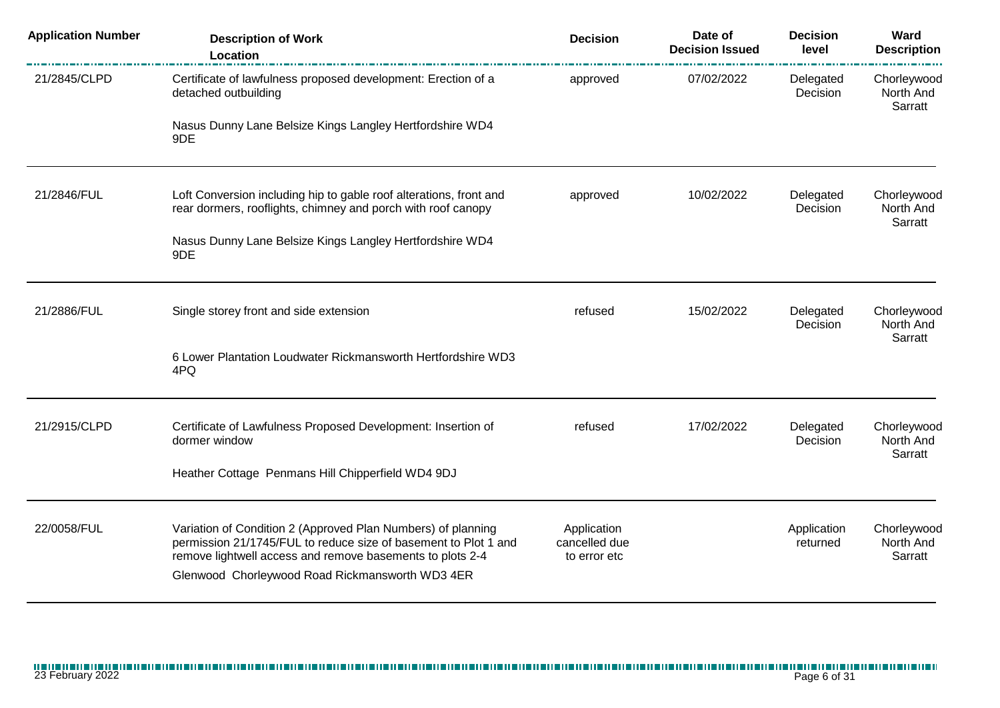| <b>Application Number</b> | <b>Description of Work</b><br>Location                                                                                                                                                                                                          | <b>Decision</b>                              | Date of<br><b>Decision Issued</b> | <b>Decision</b><br>level | Ward<br><b>Description</b>          |
|---------------------------|-------------------------------------------------------------------------------------------------------------------------------------------------------------------------------------------------------------------------------------------------|----------------------------------------------|-----------------------------------|--------------------------|-------------------------------------|
| 21/2845/CLPD              | Certificate of lawfulness proposed development: Erection of a<br>detached outbuilding                                                                                                                                                           | approved                                     | 07/02/2022                        | Delegated<br>Decision    | Chorleywood<br>North And<br>Sarratt |
|                           | Nasus Dunny Lane Belsize Kings Langley Hertfordshire WD4<br>9DE                                                                                                                                                                                 |                                              |                                   |                          |                                     |
| 21/2846/FUL               | Loft Conversion including hip to gable roof alterations, front and<br>rear dormers, rooflights, chimney and porch with roof canopy                                                                                                              | approved                                     | 10/02/2022                        | Delegated<br>Decision    | Chorleywood<br>North And<br>Sarratt |
|                           | Nasus Dunny Lane Belsize Kings Langley Hertfordshire WD4<br>9DE                                                                                                                                                                                 |                                              |                                   |                          |                                     |
| 21/2886/FUL               | Single storey front and side extension                                                                                                                                                                                                          | refused                                      | 15/02/2022                        | Delegated<br>Decision    | Chorleywood<br>North And            |
|                           | 6 Lower Plantation Loudwater Rickmansworth Hertfordshire WD3<br>4PQ                                                                                                                                                                             |                                              |                                   |                          | Sarratt                             |
| 21/2915/CLPD              | Certificate of Lawfulness Proposed Development: Insertion of<br>dormer window                                                                                                                                                                   | refused                                      | 17/02/2022                        | Delegated<br>Decision    | Chorleywood<br>North And            |
|                           | Heather Cottage Penmans Hill Chipperfield WD4 9DJ                                                                                                                                                                                               |                                              |                                   |                          | Sarratt                             |
| 22/0058/FUL               | Variation of Condition 2 (Approved Plan Numbers) of planning<br>permission 21/1745/FUL to reduce size of basement to Plot 1 and<br>remove lightwell access and remove basements to plots 2-4<br>Glenwood Chorleywood Road Rickmansworth WD3 4ER | Application<br>cancelled due<br>to error etc |                                   | Application<br>returned  | Chorleywood<br>North And<br>Sarratt |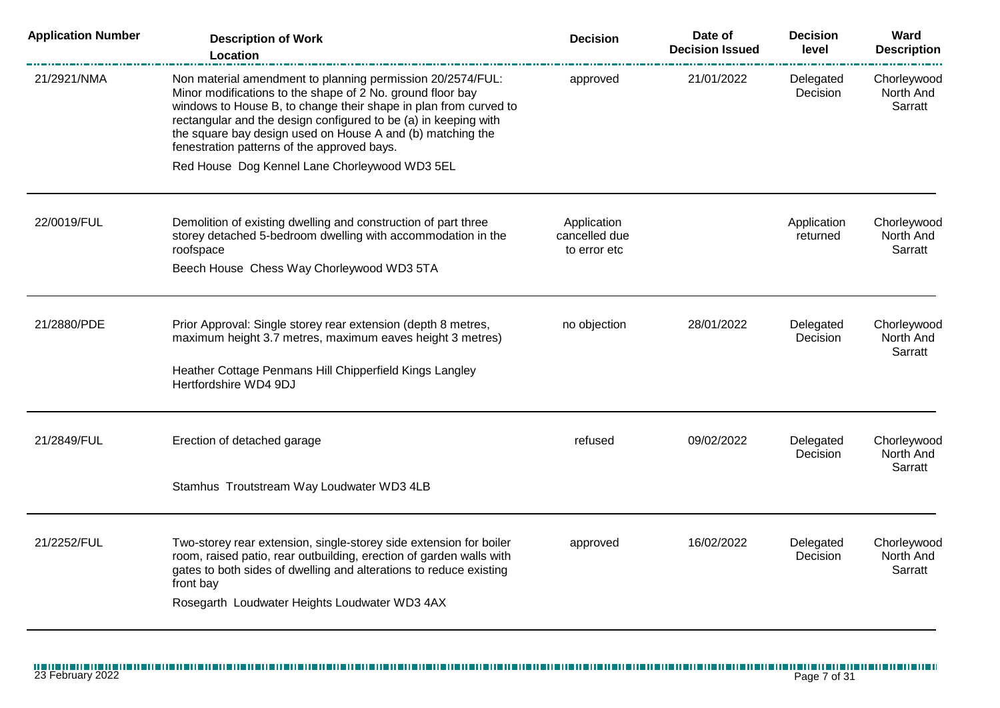| <b>Application Number</b> | <b>Description of Work</b><br>Location                                                                                                                                                                                                                                                                                                                                       | <b>Decision</b>                              | Date of<br><b>Decision Issued</b> | <b>Decision</b><br>level     | Ward<br><b>Description</b>          |
|---------------------------|------------------------------------------------------------------------------------------------------------------------------------------------------------------------------------------------------------------------------------------------------------------------------------------------------------------------------------------------------------------------------|----------------------------------------------|-----------------------------------|------------------------------|-------------------------------------|
| 21/2921/NMA               | Non material amendment to planning permission 20/2574/FUL:<br>Minor modifications to the shape of 2 No. ground floor bay<br>windows to House B, to change their shape in plan from curved to<br>rectangular and the design configured to be (a) in keeping with<br>the square bay design used on House A and (b) matching the<br>fenestration patterns of the approved bays. | approved                                     | 21/01/2022                        | Delegated<br><b>Decision</b> | Chorleywood<br>North And<br>Sarratt |
|                           | Red House Dog Kennel Lane Chorleywood WD3 5EL                                                                                                                                                                                                                                                                                                                                |                                              |                                   |                              |                                     |
| 22/0019/FUL               | Demolition of existing dwelling and construction of part three<br>storey detached 5-bedroom dwelling with accommodation in the<br>roofspace                                                                                                                                                                                                                                  | Application<br>cancelled due<br>to error etc |                                   | Application<br>returned      | Chorleywood<br>North And<br>Sarratt |
|                           | Beech House Chess Way Chorleywood WD3 5TA                                                                                                                                                                                                                                                                                                                                    |                                              |                                   |                              |                                     |
| 21/2880/PDE               | Prior Approval: Single storey rear extension (depth 8 metres,<br>maximum height 3.7 metres, maximum eaves height 3 metres)                                                                                                                                                                                                                                                   | no objection                                 | 28/01/2022                        | Delegated<br>Decision        | Chorleywood<br>North And<br>Sarratt |
|                           | Heather Cottage Penmans Hill Chipperfield Kings Langley<br>Hertfordshire WD4 9DJ                                                                                                                                                                                                                                                                                             |                                              |                                   |                              |                                     |
| 21/2849/FUL               | Erection of detached garage                                                                                                                                                                                                                                                                                                                                                  | refused                                      | 09/02/2022                        | Delegated<br><b>Decision</b> | Chorleywood<br>North And<br>Sarratt |
|                           | Stamhus Troutstream Way Loudwater WD3 4LB                                                                                                                                                                                                                                                                                                                                    |                                              |                                   |                              |                                     |
| 21/2252/FUL               | Two-storey rear extension, single-storey side extension for boiler<br>room, raised patio, rear outbuilding, erection of garden walls with<br>gates to both sides of dwelling and alterations to reduce existing<br>front bay<br>Rosegarth Loudwater Heights Loudwater WD3 4AX                                                                                                | approved                                     | 16/02/2022                        | Delegated<br>Decision        | Chorleywood<br>North And<br>Sarratt |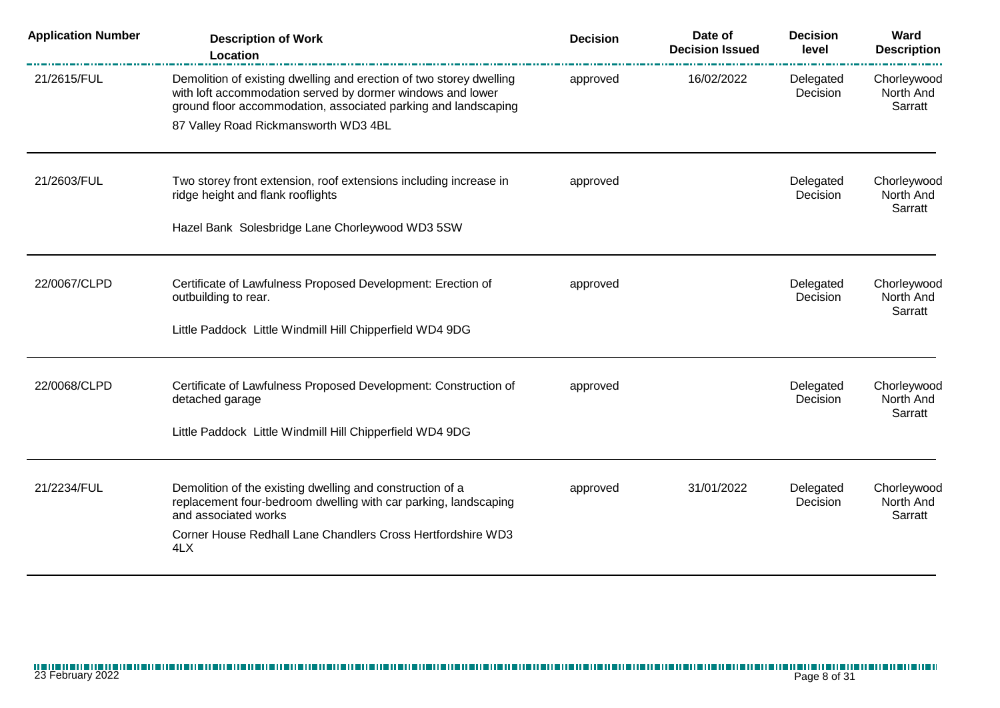| <b>Application Number</b> | <b>Description of Work</b><br>Location                                                                                                                                                                                                      | <b>Decision</b> | Date of<br><b>Decision Issued</b> | <b>Decision</b><br>level | Ward<br><b>Description</b>          |
|---------------------------|---------------------------------------------------------------------------------------------------------------------------------------------------------------------------------------------------------------------------------------------|-----------------|-----------------------------------|--------------------------|-------------------------------------|
| 21/2615/FUL               | Demolition of existing dwelling and erection of two storey dwelling<br>with loft accommodation served by dormer windows and lower<br>ground floor accommodation, associated parking and landscaping<br>87 Valley Road Rickmansworth WD3 4BL | approved        | 16/02/2022                        | Delegated<br>Decision    | Chorleywood<br>North And<br>Sarratt |
|                           |                                                                                                                                                                                                                                             |                 |                                   |                          |                                     |
| 21/2603/FUL               | Two storey front extension, roof extensions including increase in<br>ridge height and flank rooflights                                                                                                                                      | approved        |                                   | Delegated<br>Decision    | Chorleywood<br>North And<br>Sarratt |
|                           | Hazel Bank Solesbridge Lane Chorleywood WD3 5SW                                                                                                                                                                                             |                 |                                   |                          |                                     |
| 22/0067/CLPD              | Certificate of Lawfulness Proposed Development: Erection of<br>outbuilding to rear.                                                                                                                                                         | approved        |                                   | Delegated<br>Decision    | Chorleywood<br>North And<br>Sarratt |
|                           | Little Paddock Little Windmill Hill Chipperfield WD4 9DG                                                                                                                                                                                    |                 |                                   |                          |                                     |
| 22/0068/CLPD              | Certificate of Lawfulness Proposed Development: Construction of<br>detached garage                                                                                                                                                          | approved        |                                   | Delegated<br>Decision    | Chorleywood<br>North And<br>Sarratt |
|                           | Little Paddock Little Windmill Hill Chipperfield WD4 9DG                                                                                                                                                                                    |                 |                                   |                          |                                     |
| 21/2234/FUL               | Demolition of the existing dwelling and construction of a<br>replacement four-bedroom dwelling with car parking, landscaping<br>and associated works                                                                                        | approved        | 31/01/2022                        | Delegated<br>Decision    | Chorleywood<br>North And<br>Sarratt |
|                           | Corner House Redhall Lane Chandlers Cross Hertfordshire WD3<br>4LX                                                                                                                                                                          |                 |                                   |                          |                                     |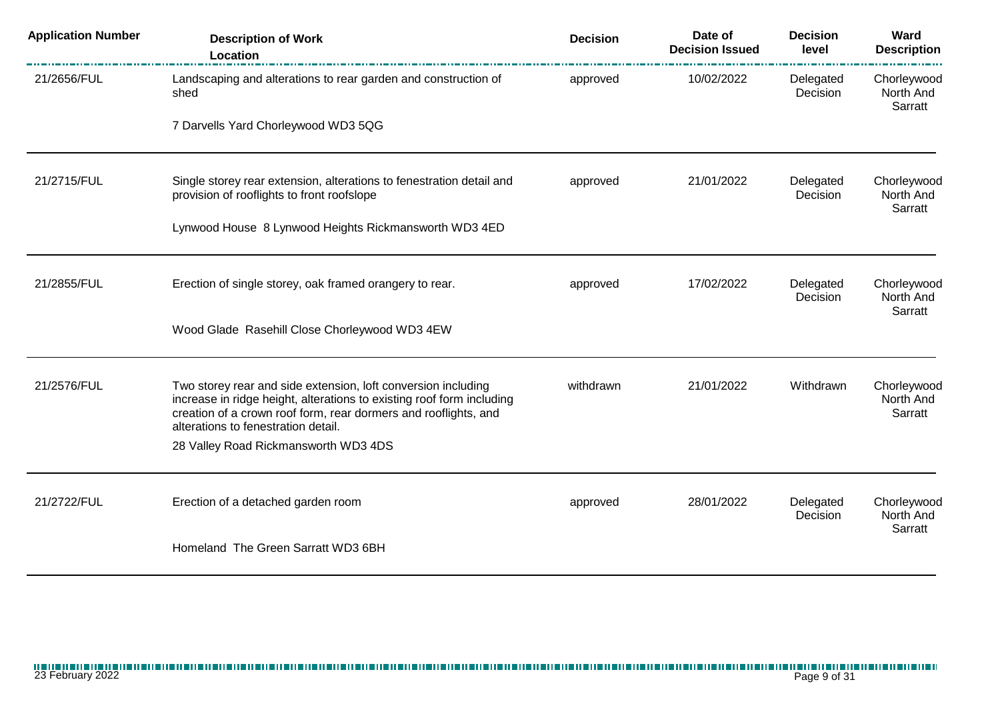| <b>Application Number</b> | <b>Description of Work</b><br>Location                                                                                                                                                                                                           | <b>Decision</b> | Date of<br><b>Decision Issued</b> | <b>Decision</b><br>level | Ward<br><b>Description</b>          |
|---------------------------|--------------------------------------------------------------------------------------------------------------------------------------------------------------------------------------------------------------------------------------------------|-----------------|-----------------------------------|--------------------------|-------------------------------------|
| 21/2656/FUL               | Landscaping and alterations to rear garden and construction of<br>shed                                                                                                                                                                           | approved        | 10/02/2022                        | Delegated<br>Decision    | Chorleywood<br>North And<br>Sarratt |
|                           | 7 Darvells Yard Chorleywood WD3 5QG                                                                                                                                                                                                              |                 |                                   |                          |                                     |
| 21/2715/FUL               | Single storey rear extension, alterations to fenestration detail and<br>provision of rooflights to front roofslope                                                                                                                               | approved        | 21/01/2022                        | Delegated<br>Decision    | Chorleywood<br>North And            |
|                           | Lynwood House 8 Lynwood Heights Rickmansworth WD3 4ED                                                                                                                                                                                            |                 |                                   |                          | Sarratt                             |
| 21/2855/FUL               | Erection of single storey, oak framed orangery to rear.                                                                                                                                                                                          | approved        | 17/02/2022                        | Delegated<br>Decision    | Chorleywood<br>North And            |
|                           | Wood Glade Rasehill Close Chorleywood WD3 4EW                                                                                                                                                                                                    |                 |                                   |                          | Sarratt                             |
| 21/2576/FUL               | Two storey rear and side extension, loft conversion including<br>increase in ridge height, alterations to existing roof form including<br>creation of a crown roof form, rear dormers and rooflights, and<br>alterations to fenestration detail. | withdrawn       | 21/01/2022                        | Withdrawn                | Chorleywood<br>North And<br>Sarratt |
|                           | 28 Valley Road Rickmansworth WD3 4DS                                                                                                                                                                                                             |                 |                                   |                          |                                     |
| 21/2722/FUL               | Erection of a detached garden room                                                                                                                                                                                                               | approved        | 28/01/2022                        | Delegated<br>Decision    | Chorleywood<br>North And<br>Sarratt |
|                           | Homeland The Green Sarratt WD3 6BH                                                                                                                                                                                                               |                 |                                   |                          |                                     |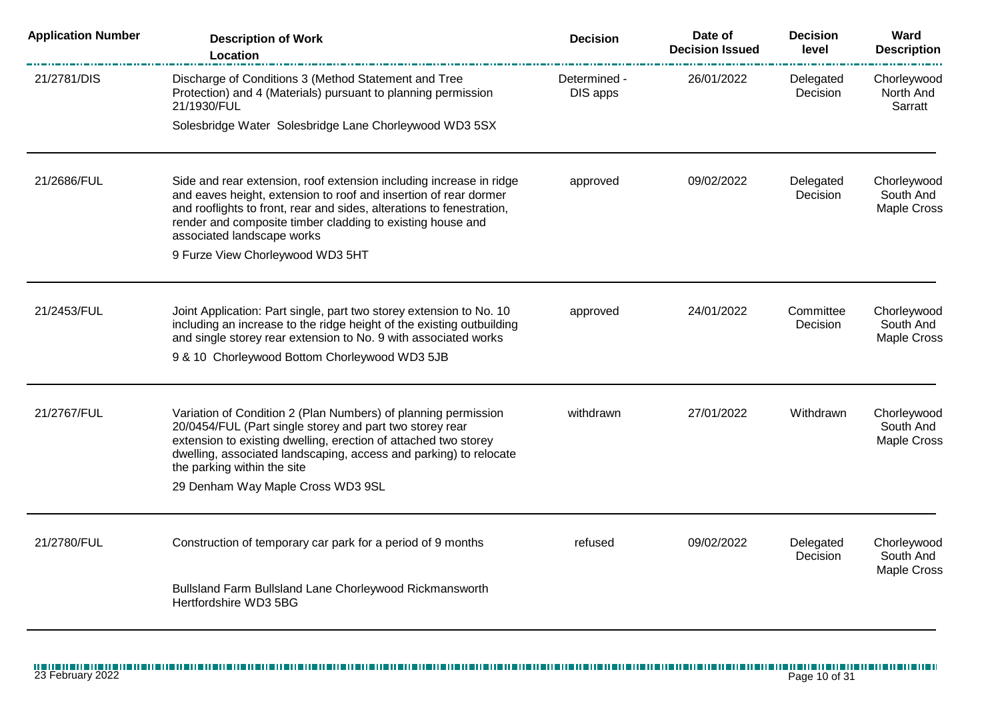| <b>Application Number</b> | <b>Description of Work</b><br><b>Location</b>                                                                                                                                                                                                                                                                                          | <b>Decision</b>          | Date of<br><b>Decision Issued</b> | <b>Decision</b><br>level | Ward<br><b>Description</b>              |
|---------------------------|----------------------------------------------------------------------------------------------------------------------------------------------------------------------------------------------------------------------------------------------------------------------------------------------------------------------------------------|--------------------------|-----------------------------------|--------------------------|-----------------------------------------|
| 21/2781/DIS               | Discharge of Conditions 3 (Method Statement and Tree<br>Protection) and 4 (Materials) pursuant to planning permission<br>21/1930/FUL                                                                                                                                                                                                   | Determined -<br>DIS apps | 26/01/2022                        | Delegated<br>Decision    | Chorleywood<br>North And<br>Sarratt     |
|                           | Solesbridge Water Solesbridge Lane Chorleywood WD3 5SX                                                                                                                                                                                                                                                                                 |                          |                                   |                          |                                         |
| 21/2686/FUL               | Side and rear extension, roof extension including increase in ridge<br>and eaves height, extension to roof and insertion of rear dormer<br>and rooflights to front, rear and sides, alterations to fenestration,<br>render and composite timber cladding to existing house and<br>associated landscape works                           | approved                 | 09/02/2022                        | Delegated<br>Decision    | Chorleywood<br>South And<br>Maple Cross |
|                           | 9 Furze View Chorleywood WD3 5HT                                                                                                                                                                                                                                                                                                       |                          |                                   |                          |                                         |
| 21/2453/FUL               | Joint Application: Part single, part two storey extension to No. 10<br>including an increase to the ridge height of the existing outbuilding<br>and single storey rear extension to No. 9 with associated works                                                                                                                        | approved                 | 24/01/2022                        | Committee<br>Decision    | Chorleywood<br>South And<br>Maple Cross |
|                           | 9 & 10 Chorleywood Bottom Chorleywood WD3 5JB                                                                                                                                                                                                                                                                                          |                          |                                   |                          |                                         |
| 21/2767/FUL               | Variation of Condition 2 (Plan Numbers) of planning permission<br>20/0454/FUL (Part single storey and part two storey rear<br>extension to existing dwelling, erection of attached two storey<br>dwelling, associated landscaping, access and parking) to relocate<br>the parking within the site<br>29 Denham Way Maple Cross WD3 9SL | withdrawn                | 27/01/2022                        | Withdrawn                | Chorleywood<br>South And<br>Maple Cross |
| 21/2780/FUL               | Construction of temporary car park for a period of 9 months                                                                                                                                                                                                                                                                            | refused                  | 09/02/2022                        | Delegated<br>Decision    | Chorleywood<br>South And<br>Maple Cross |
|                           | Bullsland Farm Bullsland Lane Chorleywood Rickmansworth<br>Hertfordshire WD3 5BG                                                                                                                                                                                                                                                       |                          |                                   |                          |                                         |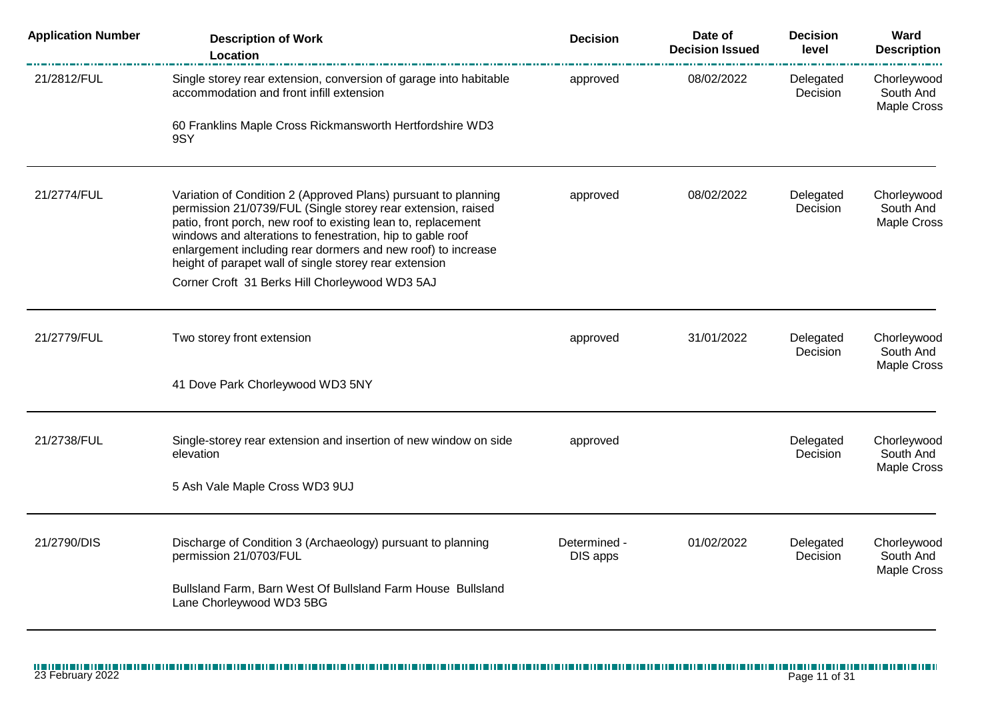| <b>Application Number</b> | <b>Description of Work</b><br><b>Location</b>                                                                                                                                                                                                                                                                                                                                                                                             | <b>Decision</b>          | Date of<br><b>Decision Issued</b> | <b>Decision</b><br>level | Ward<br><b>Description</b>                     |
|---------------------------|-------------------------------------------------------------------------------------------------------------------------------------------------------------------------------------------------------------------------------------------------------------------------------------------------------------------------------------------------------------------------------------------------------------------------------------------|--------------------------|-----------------------------------|--------------------------|------------------------------------------------|
| 21/2812/FUL               | Single storey rear extension, conversion of garage into habitable<br>accommodation and front infill extension                                                                                                                                                                                                                                                                                                                             | approved                 | 08/02/2022                        | Delegated<br>Decision    | Chorleywood<br>South And<br><b>Maple Cross</b> |
|                           | 60 Franklins Maple Cross Rickmansworth Hertfordshire WD3<br>9SY                                                                                                                                                                                                                                                                                                                                                                           |                          |                                   |                          |                                                |
| 21/2774/FUL               | Variation of Condition 2 (Approved Plans) pursuant to planning<br>permission 21/0739/FUL (Single storey rear extension, raised<br>patio, front porch, new roof to existing lean to, replacement<br>windows and alterations to fenestration, hip to gable roof<br>enlargement including rear dormers and new roof) to increase<br>height of parapet wall of single storey rear extension<br>Corner Croft 31 Berks Hill Chorleywood WD3 5AJ | approved                 | 08/02/2022                        | Delegated<br>Decision    | Chorleywood<br>South And<br><b>Maple Cross</b> |
| 21/2779/FUL               | Two storey front extension<br>41 Dove Park Chorleywood WD3 5NY                                                                                                                                                                                                                                                                                                                                                                            | approved                 | 31/01/2022                        | Delegated<br>Decision    | Chorleywood<br>South And<br><b>Maple Cross</b> |
|                           |                                                                                                                                                                                                                                                                                                                                                                                                                                           |                          |                                   |                          |                                                |
| 21/2738/FUL               | Single-storey rear extension and insertion of new window on side<br>elevation                                                                                                                                                                                                                                                                                                                                                             | approved                 |                                   | Delegated<br>Decision    | Chorleywood<br>South And<br><b>Maple Cross</b> |
|                           | 5 Ash Vale Maple Cross WD3 9UJ                                                                                                                                                                                                                                                                                                                                                                                                            |                          |                                   |                          |                                                |
| 21/2790/DIS               | Discharge of Condition 3 (Archaeology) pursuant to planning<br>permission 21/0703/FUL<br>Bullsland Farm, Barn West Of Bullsland Farm House Bullsland<br>Lane Chorleywood WD3 5BG                                                                                                                                                                                                                                                          | Determined -<br>DIS apps | 01/02/2022                        | Delegated<br>Decision    | Chorleywood<br>South And<br><b>Maple Cross</b> |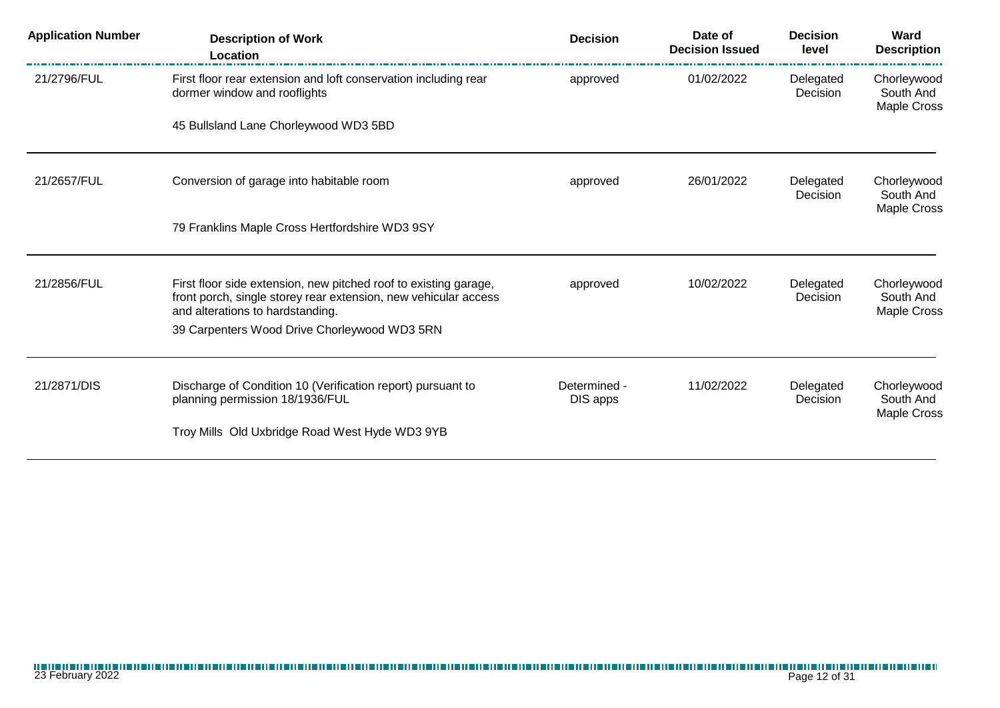| <b>Application Number</b> | <b>Description of Work</b><br>Location                                                                                                                                  | <b>Decision</b>          | Date of<br><b>Decision Issued</b> | <b>Decision</b><br>level | Ward<br><b>Description</b>              |
|---------------------------|-------------------------------------------------------------------------------------------------------------------------------------------------------------------------|--------------------------|-----------------------------------|--------------------------|-----------------------------------------|
| 21/2796/FUL               | First floor rear extension and loft conservation including rear<br>dormer window and rooflights                                                                         | approved                 | 01/02/2022                        | Delegated<br>Decision    | Chorleywood<br>South And<br>Maple Cross |
|                           | 45 Bullsland Lane Chorleywood WD3 5BD                                                                                                                                   |                          |                                   |                          |                                         |
| 21/2657/FUL               | Conversion of garage into habitable room                                                                                                                                | approved                 | 26/01/2022                        | Delegated<br>Decision    | Chorleywood<br>South And<br>Maple Cross |
|                           | 79 Franklins Maple Cross Hertfordshire WD3 9SY                                                                                                                          |                          |                                   |                          |                                         |
| 21/2856/FUL               | First floor side extension, new pitched roof to existing garage,<br>front porch, single storey rear extension, new vehicular access<br>and alterations to hardstanding. | approved                 | 10/02/2022                        | Delegated<br>Decision    | Chorleywood<br>South And<br>Maple Cross |
|                           | 39 Carpenters Wood Drive Chorleywood WD3 5RN                                                                                                                            |                          |                                   |                          |                                         |
| 21/2871/DIS               | Discharge of Condition 10 (Verification report) pursuant to<br>planning permission 18/1936/FUL                                                                          | Determined -<br>DIS apps | 11/02/2022                        | Delegated<br>Decision    | Chorleywood<br>South And<br>Maple Cross |
|                           | Troy Mills Old Uxbridge Road West Hyde WD3 9YB                                                                                                                          |                          |                                   |                          |                                         |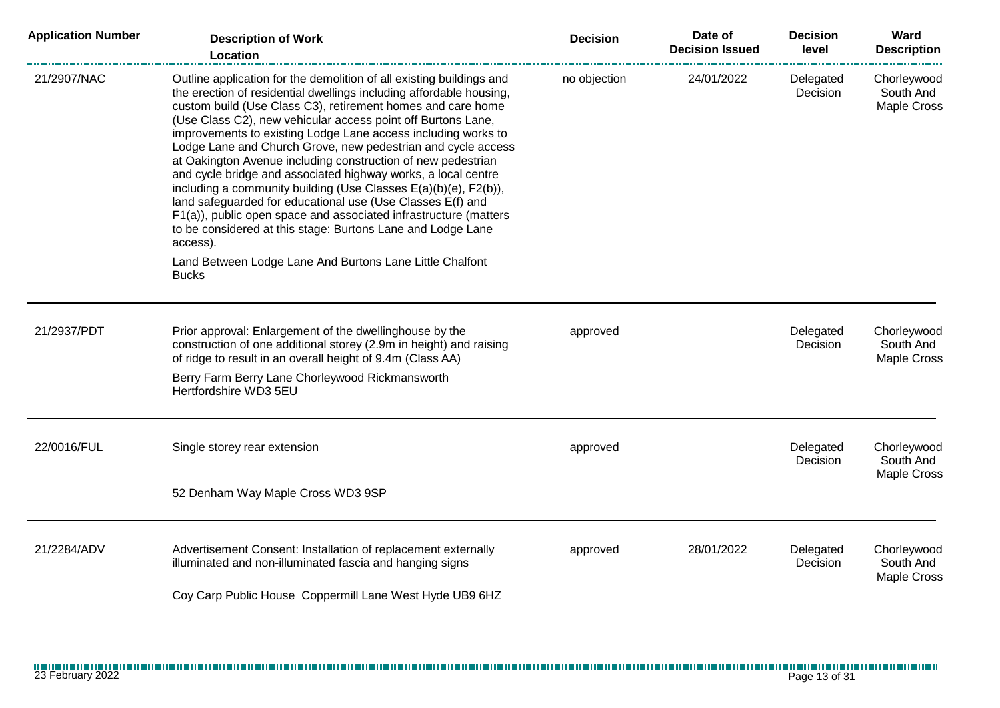| <b>Application Number</b> | <b>Description of Work</b><br>Location                                                                                                                                                                                                                                                                                                                                                                                                                                                                                                                                                                                                                                                                                                                                                                                                                                                   | <b>Decision</b> | Date of<br><b>Decision Issued</b> | <b>Decision</b><br>level | Ward<br><b>Description</b>                     |
|---------------------------|------------------------------------------------------------------------------------------------------------------------------------------------------------------------------------------------------------------------------------------------------------------------------------------------------------------------------------------------------------------------------------------------------------------------------------------------------------------------------------------------------------------------------------------------------------------------------------------------------------------------------------------------------------------------------------------------------------------------------------------------------------------------------------------------------------------------------------------------------------------------------------------|-----------------|-----------------------------------|--------------------------|------------------------------------------------|
| 21/2907/NAC               | Outline application for the demolition of all existing buildings and<br>the erection of residential dwellings including affordable housing,<br>custom build (Use Class C3), retirement homes and care home<br>(Use Class C2), new vehicular access point off Burtons Lane,<br>improvements to existing Lodge Lane access including works to<br>Lodge Lane and Church Grove, new pedestrian and cycle access<br>at Oakington Avenue including construction of new pedestrian<br>and cycle bridge and associated highway works, a local centre<br>including a community building (Use Classes E(a)(b)(e), F2(b)),<br>land safeguarded for educational use (Use Classes E(f) and<br>F1(a)), public open space and associated infrastructure (matters<br>to be considered at this stage: Burtons Lane and Lodge Lane<br>access).<br>Land Between Lodge Lane And Burtons Lane Little Chalfont | no objection    | 24/01/2022                        | Delegated<br>Decision    | Chorleywood<br>South And<br>Maple Cross        |
|                           | <b>Bucks</b>                                                                                                                                                                                                                                                                                                                                                                                                                                                                                                                                                                                                                                                                                                                                                                                                                                                                             |                 |                                   |                          |                                                |
| 21/2937/PDT               | Prior approval: Enlargement of the dwellinghouse by the<br>construction of one additional storey (2.9m in height) and raising<br>of ridge to result in an overall height of 9.4m (Class AA)                                                                                                                                                                                                                                                                                                                                                                                                                                                                                                                                                                                                                                                                                              | approved        |                                   | Delegated<br>Decision    | Chorleywood<br>South And<br>Maple Cross        |
|                           | Berry Farm Berry Lane Chorleywood Rickmansworth<br>Hertfordshire WD3 5EU                                                                                                                                                                                                                                                                                                                                                                                                                                                                                                                                                                                                                                                                                                                                                                                                                 |                 |                                   |                          |                                                |
|                           |                                                                                                                                                                                                                                                                                                                                                                                                                                                                                                                                                                                                                                                                                                                                                                                                                                                                                          |                 |                                   |                          |                                                |
| 22/0016/FUL               | Single storey rear extension                                                                                                                                                                                                                                                                                                                                                                                                                                                                                                                                                                                                                                                                                                                                                                                                                                                             | approved        |                                   | Delegated<br>Decision    | Chorleywood<br>South And<br>Maple Cross        |
|                           | 52 Denham Way Maple Cross WD3 9SP                                                                                                                                                                                                                                                                                                                                                                                                                                                                                                                                                                                                                                                                                                                                                                                                                                                        |                 |                                   |                          |                                                |
| 21/2284/ADV               | Advertisement Consent: Installation of replacement externally<br>illuminated and non-illuminated fascia and hanging signs                                                                                                                                                                                                                                                                                                                                                                                                                                                                                                                                                                                                                                                                                                                                                                | approved        | 28/01/2022                        | Delegated<br>Decision    | Chorleywood<br>South And<br><b>Maple Cross</b> |
|                           | Coy Carp Public House Coppermill Lane West Hyde UB9 6HZ                                                                                                                                                                                                                                                                                                                                                                                                                                                                                                                                                                                                                                                                                                                                                                                                                                  |                 |                                   |                          |                                                |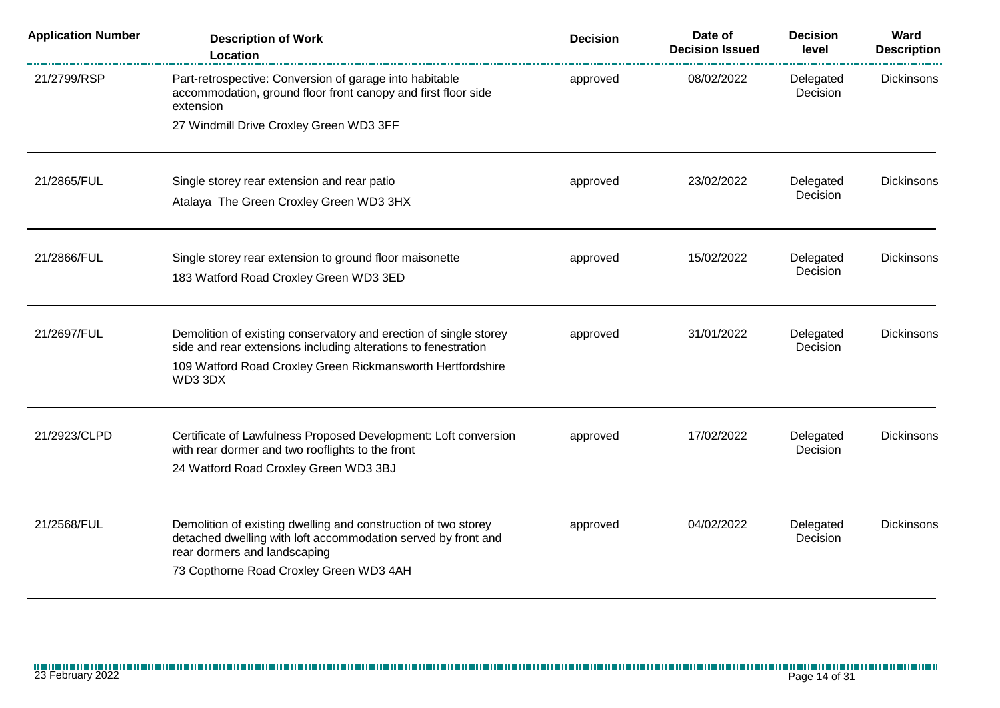| <b>Application Number</b> | <b>Description of Work</b><br>Location                                                                                                                                                                       | <b>Decision</b> | Date of<br><b>Decision Issued</b> | <b>Decision</b><br>level | Ward<br><b>Description</b> |
|---------------------------|--------------------------------------------------------------------------------------------------------------------------------------------------------------------------------------------------------------|-----------------|-----------------------------------|--------------------------|----------------------------|
| 21/2799/RSP               | Part-retrospective: Conversion of garage into habitable<br>accommodation, ground floor front canopy and first floor side<br>extension<br>27 Windmill Drive Croxley Green WD3 3FF                             | approved        | 08/02/2022                        | Delegated<br>Decision    | <b>Dickinsons</b>          |
|                           |                                                                                                                                                                                                              |                 |                                   |                          |                            |
| 21/2865/FUL               | Single storey rear extension and rear patio<br>Atalaya The Green Croxley Green WD3 3HX                                                                                                                       | approved        | 23/02/2022                        | Delegated<br>Decision    | Dickinsons                 |
| 21/2866/FUL               | Single storey rear extension to ground floor maisonette<br>183 Watford Road Croxley Green WD3 3ED                                                                                                            | approved        | 15/02/2022                        | Delegated<br>Decision    | <b>Dickinsons</b>          |
| 21/2697/FUL               | Demolition of existing conservatory and erection of single storey<br>side and rear extensions including alterations to fenestration<br>109 Watford Road Croxley Green Rickmansworth Hertfordshire<br>WD3 3DX | approved        | 31/01/2022                        | Delegated<br>Decision    | <b>Dickinsons</b>          |
| 21/2923/CLPD              | Certificate of Lawfulness Proposed Development: Loft conversion<br>with rear dormer and two rooflights to the front<br>24 Watford Road Croxley Green WD3 3BJ                                                 | approved        | 17/02/2022                        | Delegated<br>Decision    | <b>Dickinsons</b>          |
| 21/2568/FUL               | Demolition of existing dwelling and construction of two storey<br>detached dwelling with loft accommodation served by front and<br>rear dormers and landscaping<br>73 Copthorne Road Croxley Green WD3 4AH   | approved        | 04/02/2022                        | Delegated<br>Decision    | <b>Dickinsons</b>          |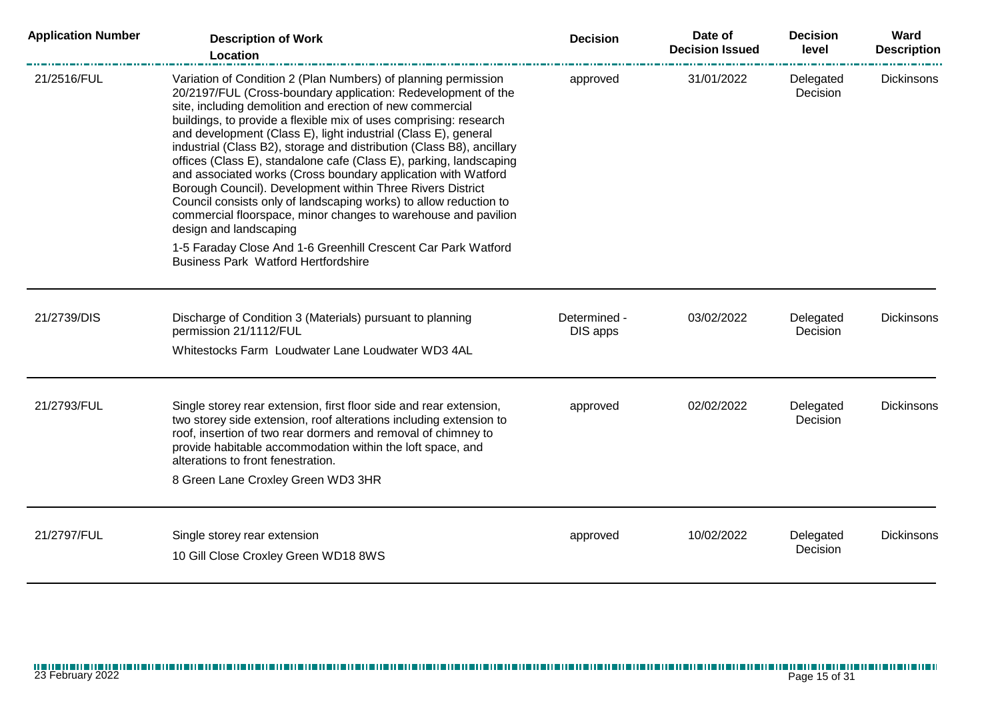| <b>Application Number</b> | <b>Description of Work</b><br>Location                                                                                                                                                                                                                                                                                                                                                                                                                                                                                                                                                                                                                                                                                                                                             | <b>Decision</b>          | Date of<br><b>Decision Issued</b> | <b>Decision</b><br>level | Ward<br><b>Description</b> |
|---------------------------|------------------------------------------------------------------------------------------------------------------------------------------------------------------------------------------------------------------------------------------------------------------------------------------------------------------------------------------------------------------------------------------------------------------------------------------------------------------------------------------------------------------------------------------------------------------------------------------------------------------------------------------------------------------------------------------------------------------------------------------------------------------------------------|--------------------------|-----------------------------------|--------------------------|----------------------------|
| 21/2516/FUL               | Variation of Condition 2 (Plan Numbers) of planning permission<br>20/2197/FUL (Cross-boundary application: Redevelopment of the<br>site, including demolition and erection of new commercial<br>buildings, to provide a flexible mix of uses comprising: research<br>and development (Class E), light industrial (Class E), general<br>industrial (Class B2), storage and distribution (Class B8), ancillary<br>offices (Class E), standalone cafe (Class E), parking, landscaping<br>and associated works (Cross boundary application with Watford<br>Borough Council). Development within Three Rivers District<br>Council consists only of landscaping works) to allow reduction to<br>commercial floorspace, minor changes to warehouse and pavilion<br>design and landscaping | approved                 | 31/01/2022                        | Delegated<br>Decision    | <b>Dickinsons</b>          |
|                           | 1-5 Faraday Close And 1-6 Greenhill Crescent Car Park Watford<br><b>Business Park Watford Hertfordshire</b>                                                                                                                                                                                                                                                                                                                                                                                                                                                                                                                                                                                                                                                                        |                          |                                   |                          |                            |
| 21/2739/DIS               | Discharge of Condition 3 (Materials) pursuant to planning<br>permission 21/1112/FUL                                                                                                                                                                                                                                                                                                                                                                                                                                                                                                                                                                                                                                                                                                | Determined -<br>DIS apps | 03/02/2022                        | Delegated<br>Decision    | <b>Dickinsons</b>          |
|                           | Whitestocks Farm Loudwater Lane Loudwater WD3 4AL                                                                                                                                                                                                                                                                                                                                                                                                                                                                                                                                                                                                                                                                                                                                  |                          |                                   |                          |                            |
| 21/2793/FUL               | Single storey rear extension, first floor side and rear extension,<br>two storey side extension, roof alterations including extension to<br>roof, insertion of two rear dormers and removal of chimney to<br>provide habitable accommodation within the loft space, and<br>alterations to front fenestration.<br>8 Green Lane Croxley Green WD3 3HR                                                                                                                                                                                                                                                                                                                                                                                                                                | approved                 | 02/02/2022                        | Delegated<br>Decision    | <b>Dickinsons</b>          |
|                           |                                                                                                                                                                                                                                                                                                                                                                                                                                                                                                                                                                                                                                                                                                                                                                                    |                          |                                   |                          |                            |
| 21/2797/FUL               | Single storey rear extension<br>10 Gill Close Croxley Green WD18 8WS                                                                                                                                                                                                                                                                                                                                                                                                                                                                                                                                                                                                                                                                                                               | approved                 | 10/02/2022                        | Delegated<br>Decision    | <b>Dickinsons</b>          |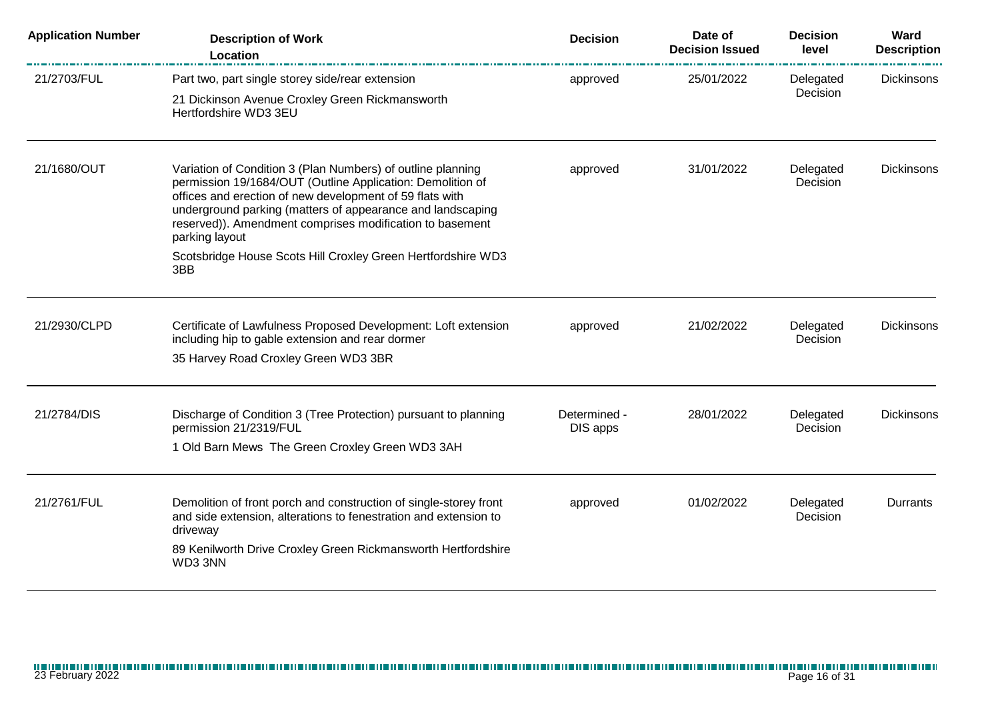| <b>Application Number</b> | <b>Description of Work</b><br>Location                                                                                                                                                                                                                                                                                            | <b>Decision</b>          | Date of<br><b>Decision Issued</b> | <b>Decision</b><br>level | Ward<br><b>Description</b> |
|---------------------------|-----------------------------------------------------------------------------------------------------------------------------------------------------------------------------------------------------------------------------------------------------------------------------------------------------------------------------------|--------------------------|-----------------------------------|--------------------------|----------------------------|
| 21/2703/FUL               | Part two, part single storey side/rear extension<br>21 Dickinson Avenue Croxley Green Rickmansworth<br>Hertfordshire WD3 3EU                                                                                                                                                                                                      | approved                 | 25/01/2022                        | Delegated<br>Decision    | <b>Dickinsons</b>          |
| 21/1680/OUT               | Variation of Condition 3 (Plan Numbers) of outline planning<br>permission 19/1684/OUT (Outline Application: Demolition of<br>offices and erection of new development of 59 flats with<br>underground parking (matters of appearance and landscaping<br>reserved)). Amendment comprises modification to basement<br>parking layout | approved                 | 31/01/2022                        | Delegated<br>Decision    | <b>Dickinsons</b>          |
|                           | Scotsbridge House Scots Hill Croxley Green Hertfordshire WD3<br>3BB                                                                                                                                                                                                                                                               |                          |                                   |                          |                            |
| 21/2930/CLPD              | Certificate of Lawfulness Proposed Development: Loft extension<br>including hip to gable extension and rear dormer<br>35 Harvey Road Croxley Green WD3 3BR                                                                                                                                                                        | approved                 | 21/02/2022                        | Delegated<br>Decision    | <b>Dickinsons</b>          |
| 21/2784/DIS               | Discharge of Condition 3 (Tree Protection) pursuant to planning<br>permission 21/2319/FUL<br>1 Old Barn Mews The Green Croxley Green WD3 3AH                                                                                                                                                                                      | Determined -<br>DIS apps | 28/01/2022                        | Delegated<br>Decision    | <b>Dickinsons</b>          |
| 21/2761/FUL               | Demolition of front porch and construction of single-storey front<br>and side extension, alterations to fenestration and extension to<br>driveway<br>89 Kenilworth Drive Croxley Green Rickmansworth Hertfordshire<br>WD3 3NN                                                                                                     | approved                 | 01/02/2022                        | Delegated<br>Decision    | Durrants                   |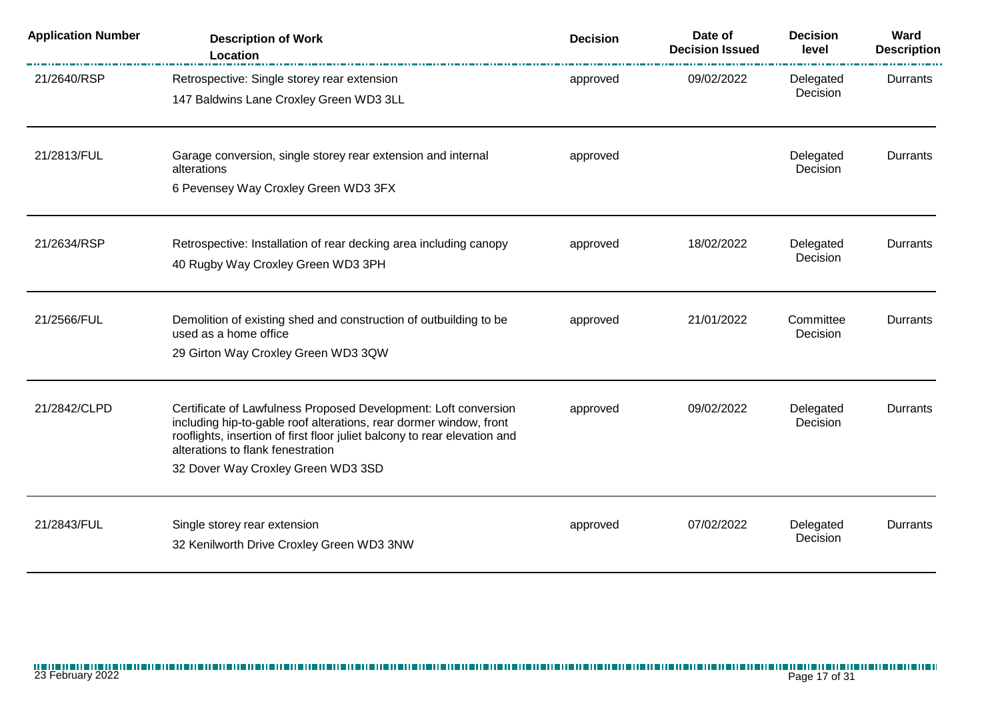| <b>Application Number</b> | <b>Description of Work</b><br>Location                                                                                                                                                                                                                                                        | <b>Decision</b> | Date of<br><b>Decision Issued</b> | <b>Decision</b><br>level | Ward<br><b>Description</b> |
|---------------------------|-----------------------------------------------------------------------------------------------------------------------------------------------------------------------------------------------------------------------------------------------------------------------------------------------|-----------------|-----------------------------------|--------------------------|----------------------------|
| 21/2640/RSP               | Retrospective: Single storey rear extension<br>147 Baldwins Lane Croxley Green WD3 3LL                                                                                                                                                                                                        | approved        | 09/02/2022                        | Delegated<br>Decision    | Durrants                   |
| 21/2813/FUL               | Garage conversion, single storey rear extension and internal<br>alterations<br>6 Pevensey Way Croxley Green WD3 3FX                                                                                                                                                                           | approved        |                                   | Delegated<br>Decision    | Durrants                   |
| 21/2634/RSP               | Retrospective: Installation of rear decking area including canopy<br>40 Rugby Way Croxley Green WD3 3PH                                                                                                                                                                                       | approved        | 18/02/2022                        | Delegated<br>Decision    | Durrants                   |
| 21/2566/FUL               | Demolition of existing shed and construction of outbuilding to be<br>used as a home office<br>29 Girton Way Croxley Green WD3 3QW                                                                                                                                                             | approved        | 21/01/2022                        | Committee<br>Decision    | Durrants                   |
| 21/2842/CLPD              | Certificate of Lawfulness Proposed Development: Loft conversion<br>including hip-to-gable roof alterations, rear dormer window, front<br>rooflights, insertion of first floor juliet balcony to rear elevation and<br>alterations to flank fenestration<br>32 Dover Way Croxley Green WD3 3SD | approved        | 09/02/2022                        | Delegated<br>Decision    | Durrants                   |
| 21/2843/FUL               | Single storey rear extension<br>32 Kenilworth Drive Croxley Green WD3 3NW                                                                                                                                                                                                                     | approved        | 07/02/2022                        | Delegated<br>Decision    | Durrants                   |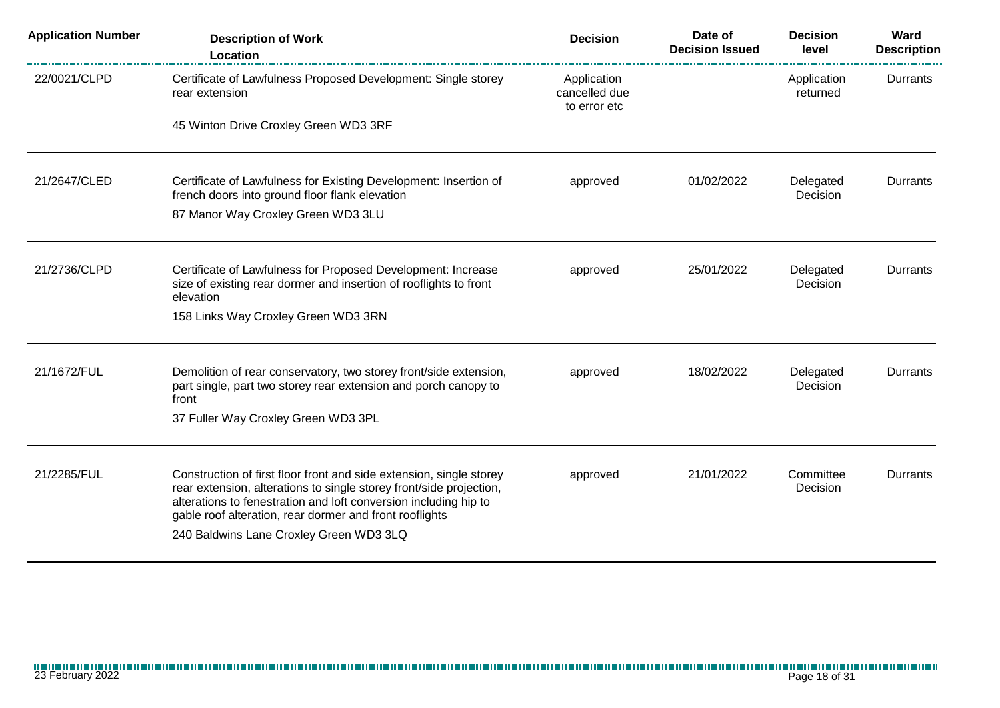| <b>Application Number</b> | <b>Description of Work</b><br><b>Location</b>                                                                                                                                                                                                                                                                        | <b>Decision</b>                              | Date of<br><b>Decision Issued</b> | <b>Decision</b><br>level | Ward<br><b>Description</b> |
|---------------------------|----------------------------------------------------------------------------------------------------------------------------------------------------------------------------------------------------------------------------------------------------------------------------------------------------------------------|----------------------------------------------|-----------------------------------|--------------------------|----------------------------|
| 22/0021/CLPD              | Certificate of Lawfulness Proposed Development: Single storey<br>rear extension                                                                                                                                                                                                                                      | Application<br>cancelled due<br>to error etc |                                   | Application<br>returned  | Durrants                   |
|                           | 45 Winton Drive Croxley Green WD3 3RF                                                                                                                                                                                                                                                                                |                                              |                                   |                          |                            |
| 21/2647/CLED              | Certificate of Lawfulness for Existing Development: Insertion of<br>french doors into ground floor flank elevation                                                                                                                                                                                                   | approved                                     | 01/02/2022                        | Delegated<br>Decision    | Durrants                   |
|                           | 87 Manor Way Croxley Green WD3 3LU                                                                                                                                                                                                                                                                                   |                                              |                                   |                          |                            |
| 21/2736/CLPD              | Certificate of Lawfulness for Proposed Development: Increase<br>size of existing rear dormer and insertion of rooflights to front<br>elevation                                                                                                                                                                       | approved                                     | 25/01/2022                        | Delegated<br>Decision    | Durrants                   |
|                           | 158 Links Way Croxley Green WD3 3RN                                                                                                                                                                                                                                                                                  |                                              |                                   |                          |                            |
| 21/1672/FUL               | Demolition of rear conservatory, two storey front/side extension,<br>part single, part two storey rear extension and porch canopy to<br>front<br>37 Fuller Way Croxley Green WD3 3PL                                                                                                                                 | approved                                     | 18/02/2022                        | Delegated<br>Decision    | Durrants                   |
|                           |                                                                                                                                                                                                                                                                                                                      |                                              |                                   |                          |                            |
| 21/2285/FUL               | Construction of first floor front and side extension, single storey<br>rear extension, alterations to single storey front/side projection,<br>alterations to fenestration and loft conversion including hip to<br>gable roof alteration, rear dormer and front rooflights<br>240 Baldwins Lane Croxley Green WD3 3LQ | approved                                     | 21/01/2022                        | Committee<br>Decision    | Durrants                   |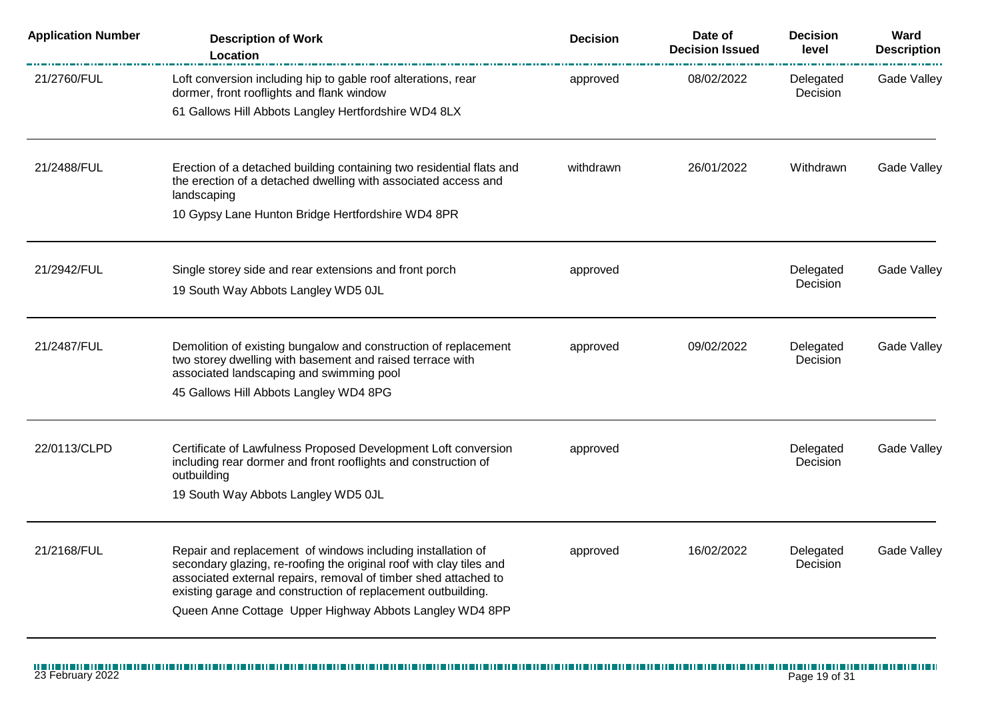| <b>Application Number</b> | <b>Description of Work</b><br><b>Location</b>                                                                                                                                                                                                                                                                                    | <b>Decision</b> | Date of<br><b>Decision Issued</b> | <b>Decision</b><br>level | Ward<br><b>Description</b> |
|---------------------------|----------------------------------------------------------------------------------------------------------------------------------------------------------------------------------------------------------------------------------------------------------------------------------------------------------------------------------|-----------------|-----------------------------------|--------------------------|----------------------------|
| 21/2760/FUL               | Loft conversion including hip to gable roof alterations, rear<br>dormer, front rooflights and flank window                                                                                                                                                                                                                       | approved        | 08/02/2022                        | Delegated<br>Decision    | Gade Valley                |
|                           | 61 Gallows Hill Abbots Langley Hertfordshire WD4 8LX                                                                                                                                                                                                                                                                             |                 |                                   |                          |                            |
| 21/2488/FUL               | Erection of a detached building containing two residential flats and<br>the erection of a detached dwelling with associated access and<br>landscaping                                                                                                                                                                            | withdrawn       | 26/01/2022                        | Withdrawn                | Gade Valley                |
|                           | 10 Gypsy Lane Hunton Bridge Hertfordshire WD4 8PR                                                                                                                                                                                                                                                                                |                 |                                   |                          |                            |
| 21/2942/FUL               | Single storey side and rear extensions and front porch                                                                                                                                                                                                                                                                           | approved        |                                   | Delegated<br>Decision    | Gade Valley                |
|                           | 19 South Way Abbots Langley WD5 0JL                                                                                                                                                                                                                                                                                              |                 |                                   |                          |                            |
| 21/2487/FUL               | Demolition of existing bungalow and construction of replacement<br>two storey dwelling with basement and raised terrace with<br>associated landscaping and swimming pool                                                                                                                                                         | approved        | 09/02/2022                        | Delegated<br>Decision    | Gade Valley                |
|                           | 45 Gallows Hill Abbots Langley WD4 8PG                                                                                                                                                                                                                                                                                           |                 |                                   |                          |                            |
| 22/0113/CLPD              | Certificate of Lawfulness Proposed Development Loft conversion<br>including rear dormer and front rooflights and construction of<br>outbuilding<br>19 South Way Abbots Langley WD5 0JL                                                                                                                                           | approved        |                                   | Delegated<br>Decision    | Gade Valley                |
|                           |                                                                                                                                                                                                                                                                                                                                  |                 |                                   |                          |                            |
| 21/2168/FUL               | Repair and replacement of windows including installation of<br>secondary glazing, re-roofing the original roof with clay tiles and<br>associated external repairs, removal of timber shed attached to<br>existing garage and construction of replacement outbuilding.<br>Queen Anne Cottage Upper Highway Abbots Langley WD4 8PP | approved        | 16/02/2022                        | Delegated<br>Decision    | Gade Valley                |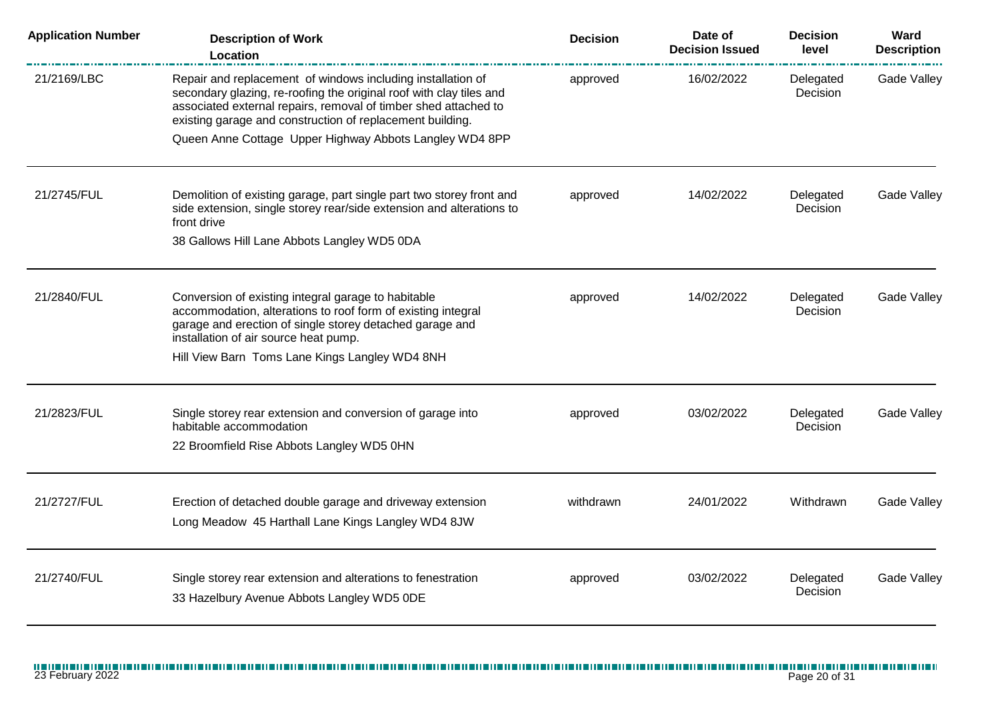| <b>Application Number</b> | <b>Description of Work</b><br>Location                                                                                                                                                                                                                                     | <b>Decision</b> | Date of<br><b>Decision Issued</b> | <b>Decision</b><br>level | Ward<br><b>Description</b> |
|---------------------------|----------------------------------------------------------------------------------------------------------------------------------------------------------------------------------------------------------------------------------------------------------------------------|-----------------|-----------------------------------|--------------------------|----------------------------|
| 21/2169/LBC               | Repair and replacement of windows including installation of<br>secondary glazing, re-roofing the original roof with clay tiles and<br>associated external repairs, removal of timber shed attached to<br>existing garage and construction of replacement building.         | approved        | 16/02/2022                        | Delegated<br>Decision    | <b>Gade Valley</b>         |
|                           | Queen Anne Cottage Upper Highway Abbots Langley WD4 8PP                                                                                                                                                                                                                    |                 |                                   |                          |                            |
| 21/2745/FUL               | Demolition of existing garage, part single part two storey front and<br>side extension, single storey rear/side extension and alterations to<br>front drive                                                                                                                | approved        | 14/02/2022                        | Delegated<br>Decision    | Gade Valley                |
|                           | 38 Gallows Hill Lane Abbots Langley WD5 0DA                                                                                                                                                                                                                                |                 |                                   |                          |                            |
| 21/2840/FUL               | Conversion of existing integral garage to habitable<br>accommodation, alterations to roof form of existing integral<br>garage and erection of single storey detached garage and<br>installation of air source heat pump.<br>Hill View Barn Toms Lane Kings Langley WD4 8NH | approved        | 14/02/2022                        | Delegated<br>Decision    | Gade Valley                |
| 21/2823/FUL               | Single storey rear extension and conversion of garage into<br>habitable accommodation<br>22 Broomfield Rise Abbots Langley WD5 0HN                                                                                                                                         | approved        | 03/02/2022                        | Delegated<br>Decision    | Gade Valley                |
| 21/2727/FUL               | Erection of detached double garage and driveway extension<br>Long Meadow 45 Harthall Lane Kings Langley WD4 8JW                                                                                                                                                            | withdrawn       | 24/01/2022                        | Withdrawn                | Gade Valley                |
| 21/2740/FUL               | Single storey rear extension and alterations to fenestration<br>33 Hazelbury Avenue Abbots Langley WD5 0DE                                                                                                                                                                 | approved        | 03/02/2022                        | Delegated<br>Decision    | <b>Gade Valley</b>         |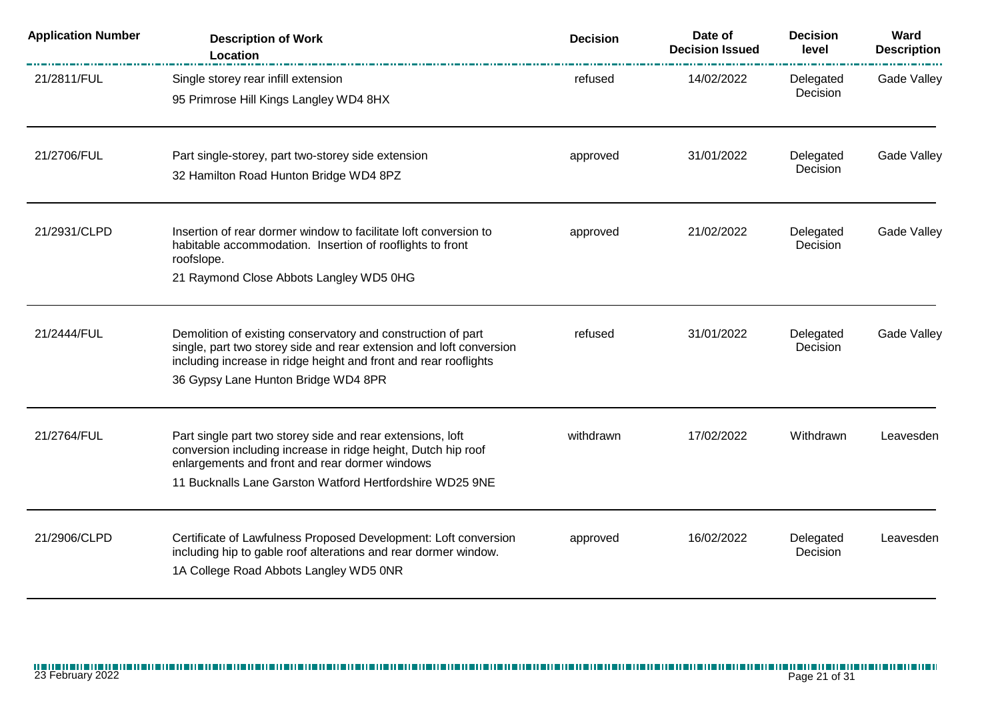| <b>Application Number</b> | <b>Description of Work</b><br>Location                                                                                                                                                                                                         | <b>Decision</b> | Date of<br><b>Decision Issued</b> | <b>Decision</b><br>level | Ward<br><b>Description</b> |
|---------------------------|------------------------------------------------------------------------------------------------------------------------------------------------------------------------------------------------------------------------------------------------|-----------------|-----------------------------------|--------------------------|----------------------------|
| 21/2811/FUL               | Single storey rear infill extension<br>95 Primrose Hill Kings Langley WD4 8HX                                                                                                                                                                  | refused         | 14/02/2022                        | Delegated<br>Decision    | <b>Gade Valley</b>         |
| 21/2706/FUL               | Part single-storey, part two-storey side extension<br>32 Hamilton Road Hunton Bridge WD4 8PZ                                                                                                                                                   | approved        | 31/01/2022                        | Delegated<br>Decision    | Gade Valley                |
| 21/2931/CLPD              | Insertion of rear dormer window to facilitate loft conversion to<br>habitable accommodation. Insertion of rooflights to front<br>roofslope.<br>21 Raymond Close Abbots Langley WD5 0HG                                                         | approved        | 21/02/2022                        | Delegated<br>Decision    | Gade Valley                |
| 21/2444/FUL               | Demolition of existing conservatory and construction of part<br>single, part two storey side and rear extension and loft conversion<br>including increase in ridge height and front and rear rooflights<br>36 Gypsy Lane Hunton Bridge WD4 8PR | refused         | 31/01/2022                        | Delegated<br>Decision    | Gade Valley                |
| 21/2764/FUL               | Part single part two storey side and rear extensions, loft<br>conversion including increase in ridge height, Dutch hip roof<br>enlargements and front and rear dormer windows<br>11 Bucknalls Lane Garston Watford Hertfordshire WD25 9NE      | withdrawn       | 17/02/2022                        | Withdrawn                | Leavesden                  |
| 21/2906/CLPD              | Certificate of Lawfulness Proposed Development: Loft conversion<br>including hip to gable roof alterations and rear dormer window.<br>1A College Road Abbots Langley WD5 0NR                                                                   | approved        | 16/02/2022                        | Delegated<br>Decision    | Leavesden                  |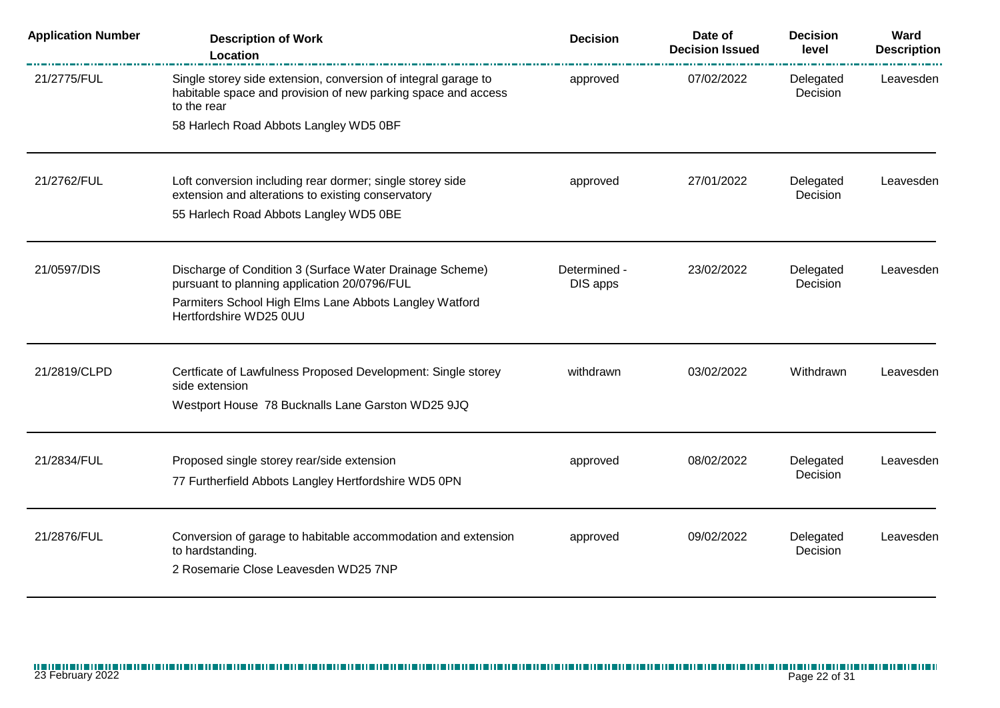| <b>Application Number</b> | <b>Description of Work</b><br>Location                                                                                                         | <b>Decision</b>          | Date of<br><b>Decision Issued</b> | <b>Decision</b><br>level | Ward<br><b>Description</b> |
|---------------------------|------------------------------------------------------------------------------------------------------------------------------------------------|--------------------------|-----------------------------------|--------------------------|----------------------------|
| 21/2775/FUL               | Single storey side extension, conversion of integral garage to<br>habitable space and provision of new parking space and access<br>to the rear | approved                 | 07/02/2022                        | Delegated<br>Decision    | Leavesden                  |
|                           | 58 Harlech Road Abbots Langley WD5 0BF                                                                                                         |                          |                                   |                          |                            |
| 21/2762/FUL               | Loft conversion including rear dormer; single storey side<br>extension and alterations to existing conservatory                                | approved                 | 27/01/2022                        | Delegated<br>Decision    | Leavesden                  |
|                           | 55 Harlech Road Abbots Langley WD5 0BE                                                                                                         |                          |                                   |                          |                            |
| 21/0597/DIS               | Discharge of Condition 3 (Surface Water Drainage Scheme)<br>pursuant to planning application 20/0796/FUL                                       | Determined -<br>DIS apps | 23/02/2022                        | Delegated<br>Decision    | Leavesden                  |
|                           | Parmiters School High Elms Lane Abbots Langley Watford<br>Hertfordshire WD25 0UU                                                               |                          |                                   |                          |                            |
| 21/2819/CLPD              | Certficate of Lawfulness Proposed Development: Single storey<br>side extension                                                                 | withdrawn                | 03/02/2022                        | Withdrawn                | Leavesden                  |
|                           | Westport House 78 Bucknalls Lane Garston WD25 9JQ                                                                                              |                          |                                   |                          |                            |
| 21/2834/FUL               | Proposed single storey rear/side extension                                                                                                     | approved                 | 08/02/2022                        | Delegated<br>Decision    | Leavesden                  |
|                           | 77 Furtherfield Abbots Langley Hertfordshire WD5 0PN                                                                                           |                          |                                   |                          |                            |
| 21/2876/FUL               | Conversion of garage to habitable accommodation and extension<br>to hardstanding.<br>2 Rosemarie Close Leavesden WD25 7NP                      | approved                 | 09/02/2022                        | Delegated<br>Decision    | Leavesden                  |
|                           |                                                                                                                                                |                          |                                   |                          |                            |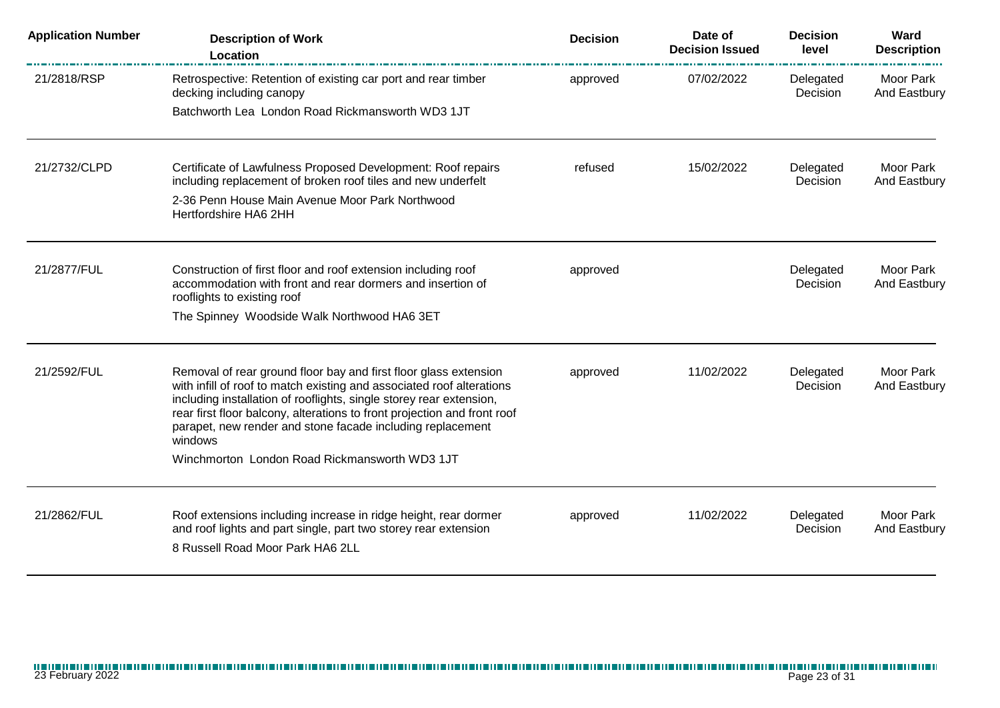| <b>Application Number</b> | <b>Description of Work</b><br>Location                                                                                                                                                                                                                                                                                                                                | <b>Decision</b> | Date of<br><b>Decision Issued</b> | <b>Decision</b><br>level | Ward<br><b>Description</b>       |
|---------------------------|-----------------------------------------------------------------------------------------------------------------------------------------------------------------------------------------------------------------------------------------------------------------------------------------------------------------------------------------------------------------------|-----------------|-----------------------------------|--------------------------|----------------------------------|
| 21/2818/RSP               | Retrospective: Retention of existing car port and rear timber<br>decking including canopy                                                                                                                                                                                                                                                                             | approved        | 07/02/2022                        | Delegated<br>Decision    | <b>Moor Park</b><br>And Eastbury |
|                           | Batchworth Lea London Road Rickmansworth WD3 1JT                                                                                                                                                                                                                                                                                                                      |                 |                                   |                          |                                  |
| 21/2732/CLPD              | Certificate of Lawfulness Proposed Development: Roof repairs<br>including replacement of broken roof tiles and new underfelt<br>2-36 Penn House Main Avenue Moor Park Northwood                                                                                                                                                                                       | refused         | 15/02/2022                        | Delegated<br>Decision    | Moor Park<br>And Eastbury        |
|                           | Hertfordshire HA6 2HH                                                                                                                                                                                                                                                                                                                                                 |                 |                                   |                          |                                  |
| 21/2877/FUL               | Construction of first floor and roof extension including roof<br>accommodation with front and rear dormers and insertion of<br>rooflights to existing roof                                                                                                                                                                                                            | approved        |                                   | Delegated<br>Decision    | Moor Park<br>And Eastbury        |
|                           | The Spinney Woodside Walk Northwood HA6 3ET                                                                                                                                                                                                                                                                                                                           |                 |                                   |                          |                                  |
| 21/2592/FUL               | Removal of rear ground floor bay and first floor glass extension<br>with infill of roof to match existing and associated roof alterations<br>including installation of rooflights, single storey rear extension,<br>rear first floor balcony, alterations to front projection and front roof<br>parapet, new render and stone facade including replacement<br>windows | approved        | 11/02/2022                        | Delegated<br>Decision    | <b>Moor Park</b><br>And Eastbury |
|                           | Winchmorton London Road Rickmansworth WD3 1JT                                                                                                                                                                                                                                                                                                                         |                 |                                   |                          |                                  |
| 21/2862/FUL               | Roof extensions including increase in ridge height, rear dormer<br>and roof lights and part single, part two storey rear extension<br>8 Russell Road Moor Park HA6 2LL                                                                                                                                                                                                | approved        | 11/02/2022                        | Delegated<br>Decision    | Moor Park<br>And Eastbury        |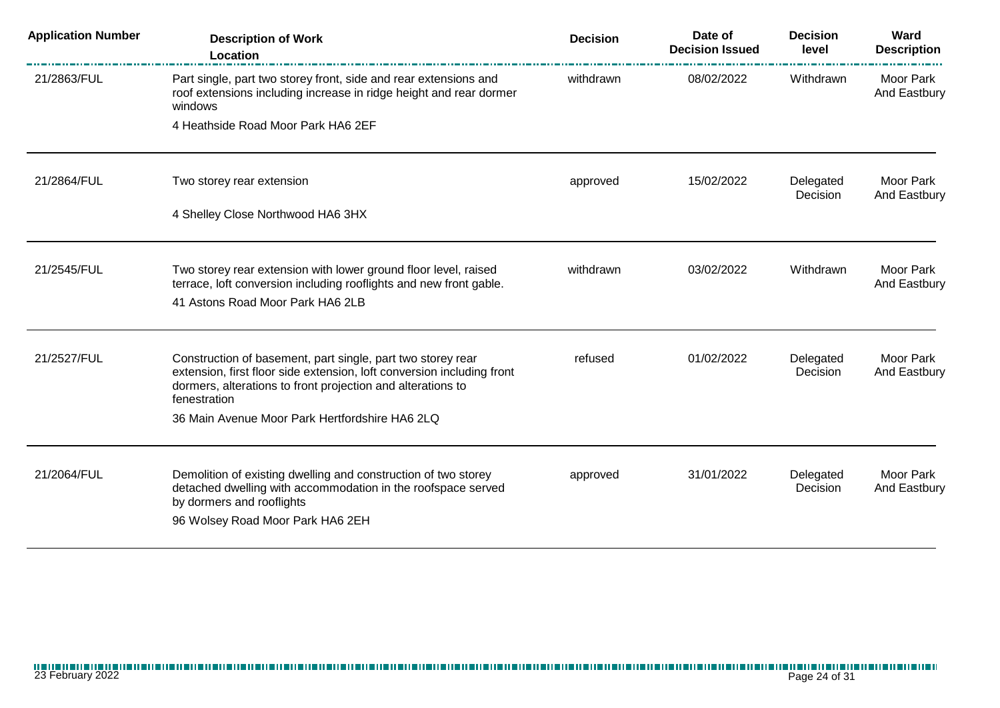| <b>Application Number</b> | <b>Description of Work</b><br>Location                                                                                                            | <b>Decision</b> | Date of<br><b>Decision Issued</b> | <b>Decision</b><br>level | Ward<br><b>Description</b>       |
|---------------------------|---------------------------------------------------------------------------------------------------------------------------------------------------|-----------------|-----------------------------------|--------------------------|----------------------------------|
| 21/2863/FUL               | Part single, part two storey front, side and rear extensions and<br>roof extensions including increase in ridge height and rear dormer<br>windows | withdrawn       | 08/02/2022                        | Withdrawn                | <b>Moor Park</b><br>And Eastbury |
|                           | 4 Heathside Road Moor Park HA6 2EF                                                                                                                |                 |                                   |                          |                                  |
| 21/2864/FUL               | Two storey rear extension                                                                                                                         | approved        | 15/02/2022                        | Delegated<br>Decision    | Moor Park<br>And Eastbury        |
|                           | 4 Shelley Close Northwood HA6 3HX                                                                                                                 |                 |                                   |                          |                                  |
| 21/2545/FUL               | Two storey rear extension with lower ground floor level, raised<br>terrace, loft conversion including rooflights and new front gable.             | withdrawn       | 03/02/2022                        | Withdrawn                | Moor Park<br>And Eastbury        |
|                           | 41 Astons Road Moor Park HA6 2LB                                                                                                                  |                 |                                   |                          |                                  |
| 21/2527/FUL               | Construction of basement, part single, part two storey rear<br>extension, first floor side extension, loft conversion including front             | refused         | 01/02/2022                        | Delegated<br>Decision    | Moor Park<br>And Eastbury        |
|                           | dormers, alterations to front projection and alterations to<br>fenestration                                                                       |                 |                                   |                          |                                  |
|                           | 36 Main Avenue Moor Park Hertfordshire HA6 2LQ                                                                                                    |                 |                                   |                          |                                  |
| 21/2064/FUL               | Demolition of existing dwelling and construction of two storey                                                                                    | approved        | 31/01/2022                        | Delegated                | Moor Park                        |
|                           | detached dwelling with accommodation in the roofspace served<br>by dormers and rooflights                                                         |                 |                                   | Decision                 | And Eastbury                     |
|                           | 96 Wolsey Road Moor Park HA6 2EH                                                                                                                  |                 |                                   |                          |                                  |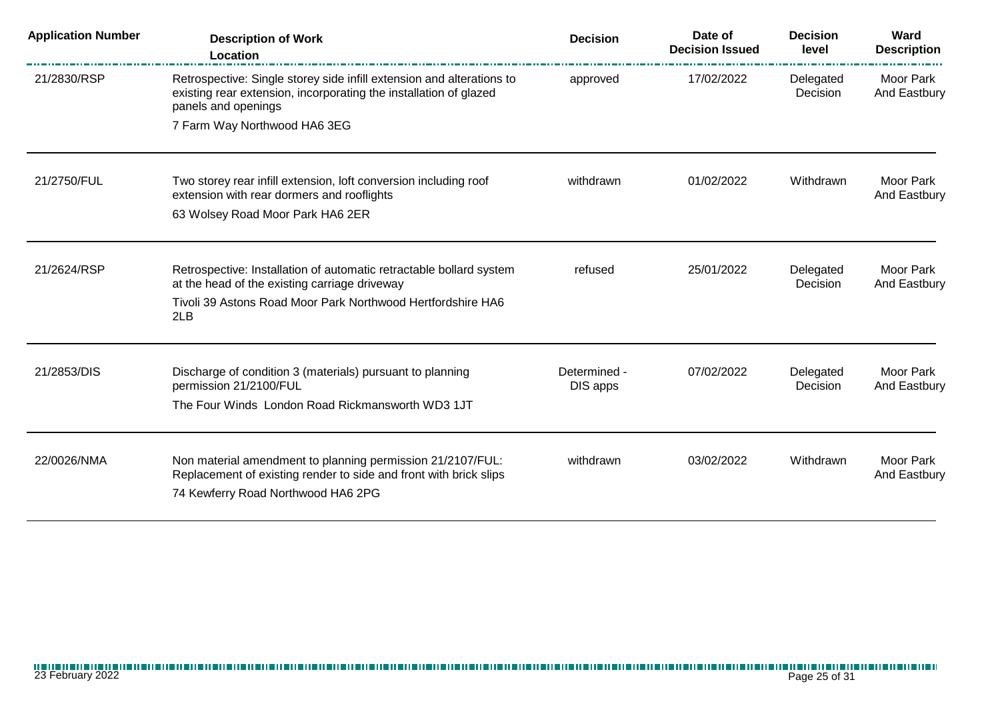| <b>Application Number</b> | <b>Description of Work</b><br>Location                                                                                                                            | <b>Decision</b> | Date of<br><b>Decision Issued</b> | <b>Decision</b><br>level | Ward<br><b>Description</b> |
|---------------------------|-------------------------------------------------------------------------------------------------------------------------------------------------------------------|-----------------|-----------------------------------|--------------------------|----------------------------|
| 21/2830/RSP               | Retrospective: Single storey side infill extension and alterations to<br>existing rear extension, incorporating the installation of glazed<br>panels and openings | approved        | 17/02/2022                        | Delegated<br>Decision    | Moor Park<br>And Eastbury  |
|                           | 7 Farm Way Northwood HA6 3EG                                                                                                                                      |                 |                                   |                          |                            |
| 21/2750/FUL               | Two storey rear infill extension, loft conversion including roof<br>extension with rear dormers and rooflights                                                    | withdrawn       | 01/02/2022                        | Withdrawn                | Moor Park<br>And Eastbury  |
|                           | 63 Wolsey Road Moor Park HA6 2ER                                                                                                                                  |                 |                                   |                          |                            |
| 21/2624/RSP               | Retrospective: Installation of automatic retractable bollard system<br>at the head of the existing carriage driveway                                              | refused         | 25/01/2022                        | Delegated<br>Decision    | Moor Park<br>And Eastbury  |
|                           | Tivoli 39 Astons Road Moor Park Northwood Hertfordshire HA6<br>2LB                                                                                                |                 |                                   |                          |                            |
| 21/2853/DIS               | Discharge of condition 3 (materials) pursuant to planning<br>permission 21/2100/FUL                                                                               | Determined -    | 07/02/2022                        | Delegated<br>Decision    | Moor Park                  |
|                           | The Four Winds London Road Rickmansworth WD3 1JT                                                                                                                  | DIS apps        |                                   |                          | And Eastbury               |
| 22/0026/NMA               | Non material amendment to planning permission 21/2107/FUL:                                                                                                        | withdrawn       | 03/02/2022                        | Withdrawn                | Moor Park                  |
|                           | Replacement of existing render to side and front with brick slips<br>74 Kewferry Road Northwood HA6 2PG                                                           |                 |                                   |                          | And Eastbury               |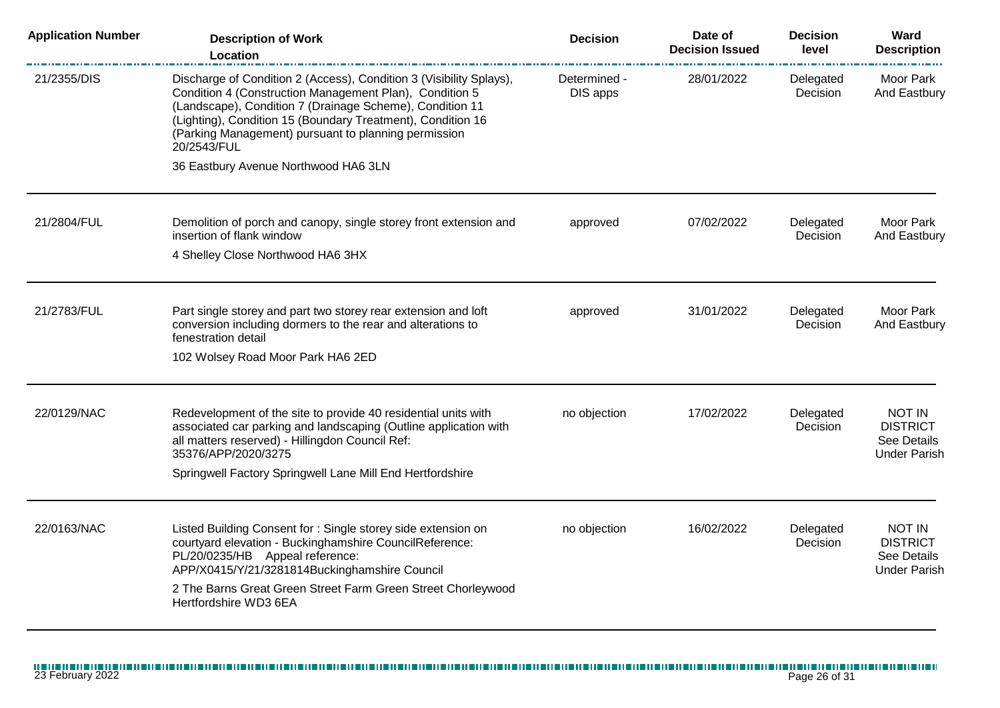| <b>Application Number</b> | <b>Description of Work</b><br><b>Location</b>                                                                                                                                                                                                                                                                                    | <b>Decision</b>          | Date of<br><b>Decision Issued</b> | <b>Decision</b><br>level | Ward<br><b>Description</b>                                      |
|---------------------------|----------------------------------------------------------------------------------------------------------------------------------------------------------------------------------------------------------------------------------------------------------------------------------------------------------------------------------|--------------------------|-----------------------------------|--------------------------|-----------------------------------------------------------------|
| 21/2355/DIS               | Discharge of Condition 2 (Access), Condition 3 (Visibility Splays),<br>Condition 4 (Construction Management Plan), Condition 5<br>(Landscape), Condition 7 (Drainage Scheme), Condition 11<br>(Lighting), Condition 15 (Boundary Treatment), Condition 16<br>(Parking Management) pursuant to planning permission<br>20/2543/FUL | Determined -<br>DIS apps | 28/01/2022                        | Delegated<br>Decision    | Moor Park<br>And Eastbury                                       |
|                           | 36 Eastbury Avenue Northwood HA6 3LN                                                                                                                                                                                                                                                                                             |                          |                                   |                          |                                                                 |
| 21/2804/FUL               | Demolition of porch and canopy, single storey front extension and<br>insertion of flank window                                                                                                                                                                                                                                   | approved                 | 07/02/2022                        | Delegated<br>Decision    | Moor Park<br>And Eastbury                                       |
|                           | 4 Shelley Close Northwood HA6 3HX                                                                                                                                                                                                                                                                                                |                          |                                   |                          |                                                                 |
| 21/2783/FUL               | Part single storey and part two storey rear extension and loft<br>conversion including dormers to the rear and alterations to<br>fenestration detail                                                                                                                                                                             | approved                 | 31/01/2022                        | Delegated<br>Decision    | Moor Park<br>And Eastbury                                       |
|                           | 102 Wolsey Road Moor Park HA6 2ED                                                                                                                                                                                                                                                                                                |                          |                                   |                          |                                                                 |
| 22/0129/NAC               | Redevelopment of the site to provide 40 residential units with<br>associated car parking and landscaping (Outline application with<br>all matters reserved) - Hillingdon Council Ref:<br>35376/APP/2020/3275                                                                                                                     | no objection             | 17/02/2022                        | Delegated<br>Decision    | NOT IN<br><b>DISTRICT</b><br>See Details<br><b>Under Parish</b> |
|                           | Springwell Factory Springwell Lane Mill End Hertfordshire                                                                                                                                                                                                                                                                        |                          |                                   |                          |                                                                 |
| 22/0163/NAC               | Listed Building Consent for: Single storey side extension on<br>courtyard elevation - Buckinghamshire CouncilReference:<br>PL/20/0235/HB Appeal reference:<br>APP/X0415/Y/21/3281814Buckinghamshire Council<br>2 The Barns Great Green Street Farm Green Street Chorleywood<br>Hertfordshire WD3 6EA                             | no objection             | 16/02/2022                        | Delegated<br>Decision    | NOT IN<br><b>DISTRICT</b><br>See Details<br><b>Under Parish</b> |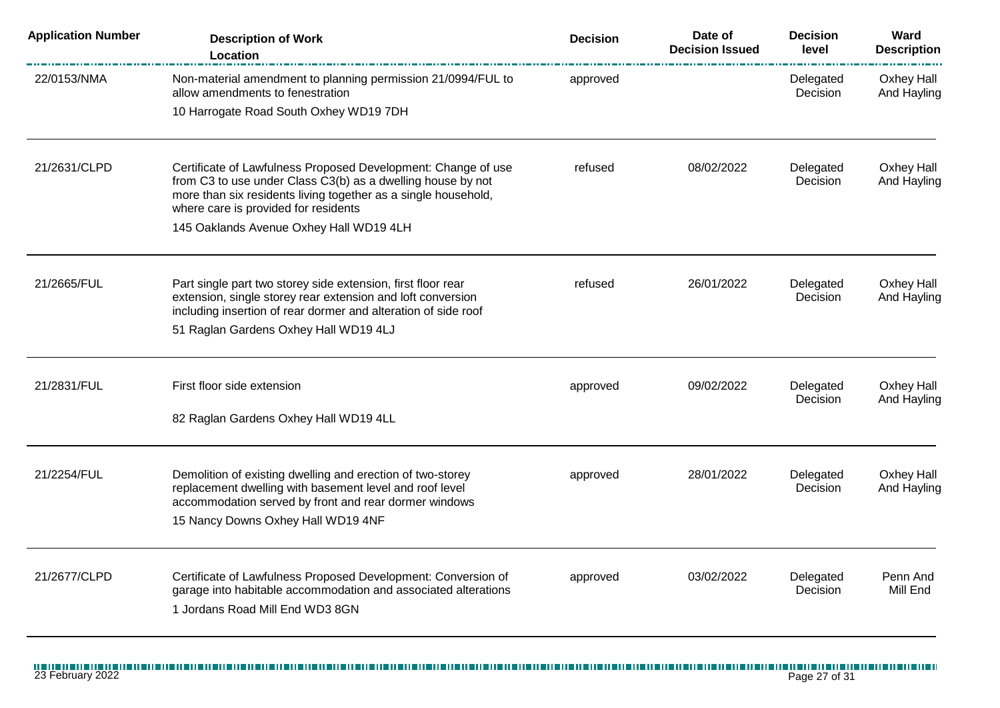| <b>Application Number</b> | <b>Description of Work</b><br>Location                                                                                                                                                                                                 | <b>Decision</b> | Date of<br><b>Decision Issued</b> | <b>Decision</b><br>level | Ward<br><b>Description</b>       |
|---------------------------|----------------------------------------------------------------------------------------------------------------------------------------------------------------------------------------------------------------------------------------|-----------------|-----------------------------------|--------------------------|----------------------------------|
| 22/0153/NMA               | Non-material amendment to planning permission 21/0994/FUL to<br>allow amendments to fenestration                                                                                                                                       | approved        |                                   | Delegated<br>Decision    | Oxhey Hall<br>And Hayling        |
|                           | 10 Harrogate Road South Oxhey WD19 7DH                                                                                                                                                                                                 |                 |                                   |                          |                                  |
| 21/2631/CLPD              | Certificate of Lawfulness Proposed Development: Change of use<br>from C3 to use under Class C3(b) as a dwelling house by not<br>more than six residents living together as a single household,<br>where care is provided for residents | refused         | 08/02/2022                        | Delegated<br>Decision    | <b>Oxhey Hall</b><br>And Hayling |
|                           | 145 Oaklands Avenue Oxhey Hall WD19 4LH                                                                                                                                                                                                |                 |                                   |                          |                                  |
| 21/2665/FUL               | Part single part two storey side extension, first floor rear<br>extension, single storey rear extension and loft conversion<br>including insertion of rear dormer and alteration of side roof<br>51 Raglan Gardens Oxhey Hall WD19 4LJ | refused         | 26/01/2022                        | Delegated<br>Decision    | Oxhey Hall<br>And Hayling        |
| 21/2831/FUL               | First floor side extension                                                                                                                                                                                                             | approved        | 09/02/2022                        | Delegated<br>Decision    | <b>Oxhey Hall</b><br>And Hayling |
|                           | 82 Raglan Gardens Oxhey Hall WD19 4LL                                                                                                                                                                                                  |                 |                                   |                          |                                  |
| 21/2254/FUL               | Demolition of existing dwelling and erection of two-storey<br>replacement dwelling with basement level and roof level<br>accommodation served by front and rear dormer windows                                                         | approved        | 28/01/2022                        | Delegated<br>Decision    | Oxhey Hall<br>And Hayling        |
|                           | 15 Nancy Downs Oxhey Hall WD19 4NF                                                                                                                                                                                                     |                 |                                   |                          |                                  |
| 21/2677/CLPD              | Certificate of Lawfulness Proposed Development: Conversion of<br>garage into habitable accommodation and associated alterations<br>1 Jordans Road Mill End WD3 8GN                                                                     | approved        | 03/02/2022                        | Delegated<br>Decision    | Penn And<br>Mill End             |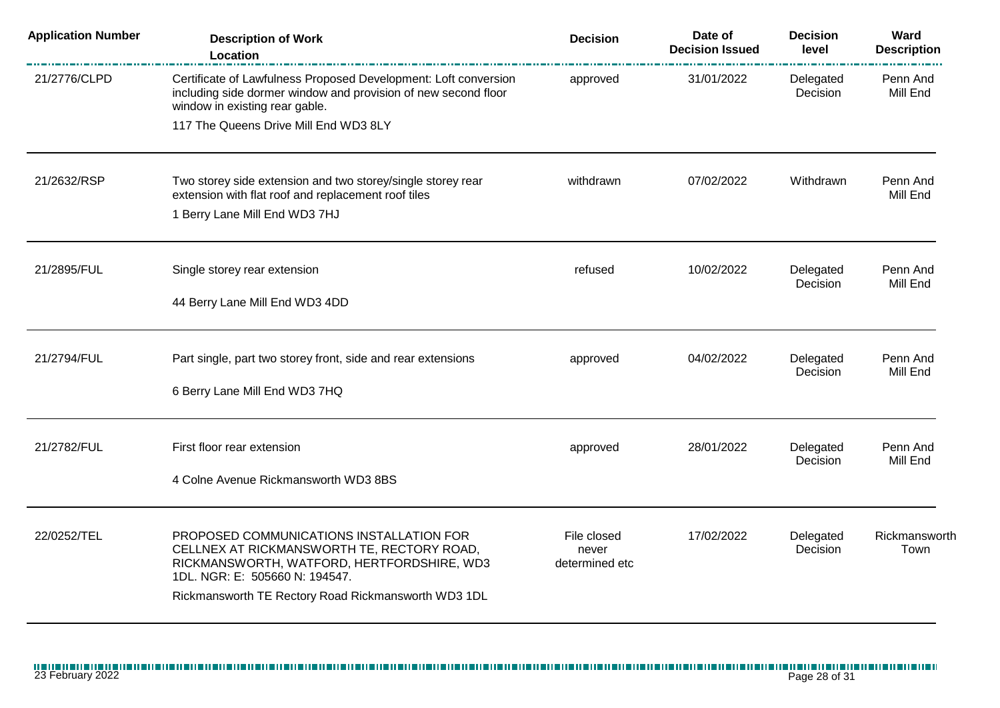| <b>Application Number</b> | <b>Description of Work</b><br>Location                                                                                                                                                                                        | <b>Decision</b>                        | Date of<br><b>Decision Issued</b> | <b>Decision</b><br>level | Ward<br><b>Description</b> |
|---------------------------|-------------------------------------------------------------------------------------------------------------------------------------------------------------------------------------------------------------------------------|----------------------------------------|-----------------------------------|--------------------------|----------------------------|
| 21/2776/CLPD              | Certificate of Lawfulness Proposed Development: Loft conversion<br>including side dormer window and provision of new second floor<br>window in existing rear gable.<br>117 The Queens Drive Mill End WD3 8LY                  | approved                               | 31/01/2022                        | Delegated<br>Decision    | Penn And<br>Mill End       |
|                           |                                                                                                                                                                                                                               |                                        |                                   |                          |                            |
| 21/2632/RSP               | Two storey side extension and two storey/single storey rear<br>extension with flat roof and replacement roof tiles<br>1 Berry Lane Mill End WD3 7HJ                                                                           | withdrawn                              | 07/02/2022                        | Withdrawn                | Penn And<br>Mill End       |
| 21/2895/FUL               | Single storey rear extension<br>44 Berry Lane Mill End WD3 4DD                                                                                                                                                                | refused                                | 10/02/2022                        | Delegated<br>Decision    | Penn And<br>Mill End       |
|                           |                                                                                                                                                                                                                               |                                        |                                   |                          |                            |
| 21/2794/FUL               | Part single, part two storey front, side and rear extensions                                                                                                                                                                  | approved                               | 04/02/2022                        | Delegated<br>Decision    | Penn And<br>Mill End       |
|                           | 6 Berry Lane Mill End WD3 7HQ                                                                                                                                                                                                 |                                        |                                   |                          |                            |
| 21/2782/FUL               | First floor rear extension                                                                                                                                                                                                    | approved                               | 28/01/2022                        | Delegated<br>Decision    | Penn And<br>Mill End       |
|                           | 4 Colne Avenue Rickmansworth WD3 8BS                                                                                                                                                                                          |                                        |                                   |                          |                            |
| 22/0252/TEL               | PROPOSED COMMUNICATIONS INSTALLATION FOR<br>CELLNEX AT RICKMANSWORTH TE, RECTORY ROAD,<br>RICKMANSWORTH, WATFORD, HERTFORDSHIRE, WD3<br>1DL. NGR: E: 505660 N: 194547.<br>Rickmansworth TE Rectory Road Rickmansworth WD3 1DL | File closed<br>never<br>determined etc | 17/02/2022                        | Delegated<br>Decision    | Rickmansworth<br>Town      |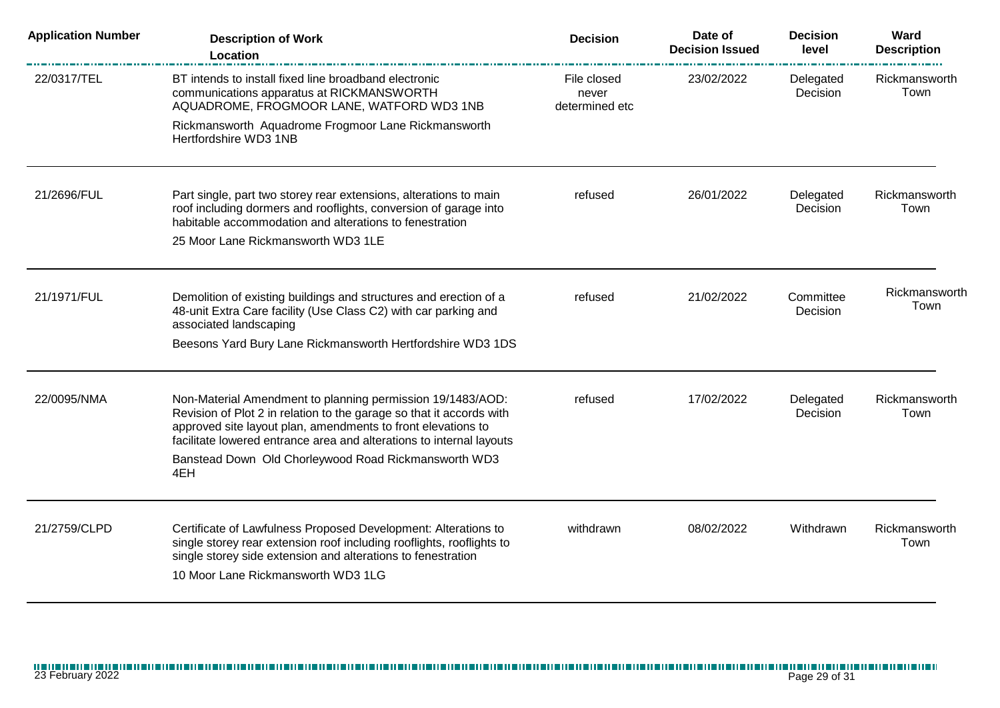| <b>Application Number</b> | <b>Description of Work</b><br>Location                                                                                                                                                                                                                                     | <b>Decision</b>                        | Date of<br><b>Decision Issued</b> | <b>Decision</b><br>level | Ward<br><b>Description</b> |
|---------------------------|----------------------------------------------------------------------------------------------------------------------------------------------------------------------------------------------------------------------------------------------------------------------------|----------------------------------------|-----------------------------------|--------------------------|----------------------------|
| 22/0317/TEL               | BT intends to install fixed line broadband electronic<br>communications apparatus at RICKMANSWORTH<br>AQUADROME, FROGMOOR LANE, WATFORD WD3 1NB                                                                                                                            | File closed<br>never<br>determined etc | 23/02/2022                        | Delegated<br>Decision    | Rickmansworth<br>Town      |
|                           | Rickmansworth Aquadrome Frogmoor Lane Rickmansworth<br>Hertfordshire WD3 1NB                                                                                                                                                                                               |                                        |                                   |                          |                            |
| 21/2696/FUL               | Part single, part two storey rear extensions, alterations to main<br>roof including dormers and rooflights, conversion of garage into<br>habitable accommodation and alterations to fenestration                                                                           | refused                                | 26/01/2022                        | Delegated<br>Decision    | Rickmansworth<br>Town      |
|                           | 25 Moor Lane Rickmansworth WD3 1LE                                                                                                                                                                                                                                         |                                        |                                   |                          |                            |
| 21/1971/FUL               | Demolition of existing buildings and structures and erection of a<br>48-unit Extra Care facility (Use Class C2) with car parking and<br>associated landscaping                                                                                                             | refused                                | 21/02/2022                        | Committee<br>Decision    | Rickmansworth<br>Town      |
|                           | Beesons Yard Bury Lane Rickmansworth Hertfordshire WD3 1DS                                                                                                                                                                                                                 |                                        |                                   |                          |                            |
| 22/0095/NMA               | Non-Material Amendment to planning permission 19/1483/AOD:<br>Revision of Plot 2 in relation to the garage so that it accords with<br>approved site layout plan, amendments to front elevations to<br>facilitate lowered entrance area and alterations to internal layouts | refused                                | 17/02/2022                        | Delegated<br>Decision    | Rickmansworth<br>Town      |
|                           | Banstead Down Old Chorleywood Road Rickmansworth WD3<br>4EH                                                                                                                                                                                                                |                                        |                                   |                          |                            |
| 21/2759/CLPD              | Certificate of Lawfulness Proposed Development: Alterations to<br>single storey rear extension roof including rooflights, rooflights to<br>single storey side extension and alterations to fenestration                                                                    | withdrawn                              | 08/02/2022                        | Withdrawn                | Rickmansworth<br>Town      |
|                           | 10 Moor Lane Rickmansworth WD3 1LG                                                                                                                                                                                                                                         |                                        |                                   |                          |                            |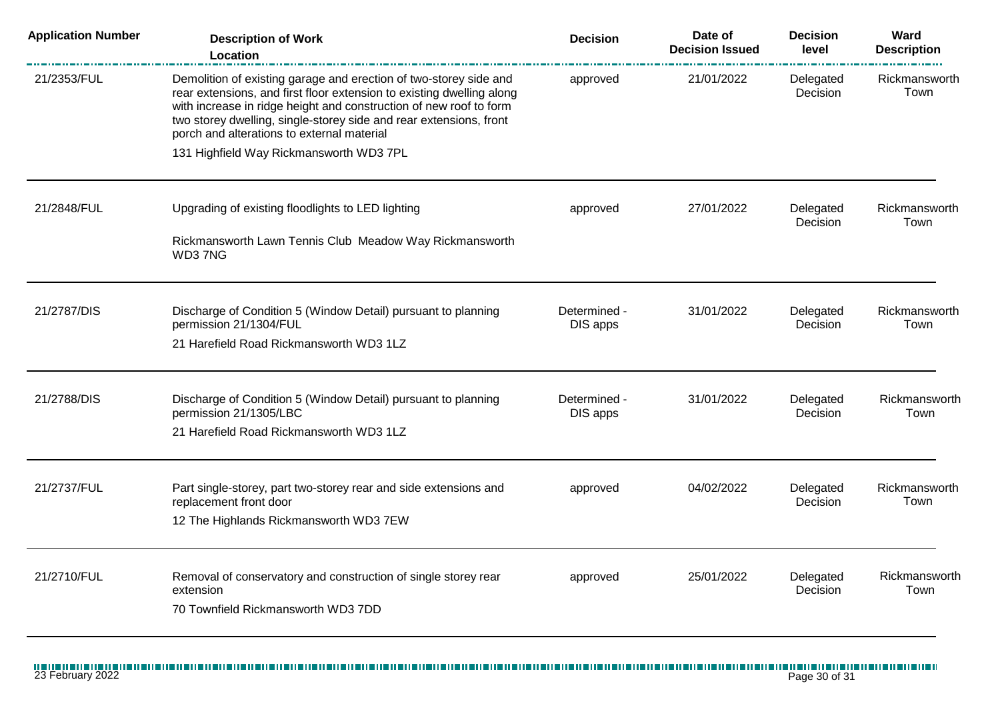| <b>Application Number</b> | <b>Description of Work</b><br><b>Location</b>                                                                                                                                                                                                                                                                                        | <b>Decision</b>          | Date of<br><b>Decision Issued</b> | <b>Decision</b><br>level | Ward<br><b>Description</b> |
|---------------------------|--------------------------------------------------------------------------------------------------------------------------------------------------------------------------------------------------------------------------------------------------------------------------------------------------------------------------------------|--------------------------|-----------------------------------|--------------------------|----------------------------|
| 21/2353/FUL               | Demolition of existing garage and erection of two-storey side and<br>rear extensions, and first floor extension to existing dwelling along<br>with increase in ridge height and construction of new roof to form<br>two storey dwelling, single-storey side and rear extensions, front<br>porch and alterations to external material | approved                 | 21/01/2022                        | Delegated<br>Decision    | Rickmansworth<br>Town      |
|                           | 131 Highfield Way Rickmansworth WD3 7PL                                                                                                                                                                                                                                                                                              |                          |                                   |                          |                            |
| 21/2848/FUL               | Upgrading of existing floodlights to LED lighting                                                                                                                                                                                                                                                                                    | approved                 | 27/01/2022                        | Delegated<br>Decision    | Rickmansworth<br>Town      |
|                           | Rickmansworth Lawn Tennis Club Meadow Way Rickmansworth<br>WD37NG                                                                                                                                                                                                                                                                    |                          |                                   |                          |                            |
| 21/2787/DIS               | Discharge of Condition 5 (Window Detail) pursuant to planning<br>permission 21/1304/FUL                                                                                                                                                                                                                                              | Determined -<br>DIS apps | 31/01/2022                        | Delegated<br>Decision    | Rickmansworth<br>Town      |
|                           | 21 Harefield Road Rickmansworth WD3 1LZ                                                                                                                                                                                                                                                                                              |                          |                                   |                          |                            |
| 21/2788/DIS               | Discharge of Condition 5 (Window Detail) pursuant to planning<br>permission 21/1305/LBC                                                                                                                                                                                                                                              | Determined -<br>DIS apps | 31/01/2022                        | Delegated<br>Decision    | Rickmansworth<br>Town      |
|                           | 21 Harefield Road Rickmansworth WD3 1LZ                                                                                                                                                                                                                                                                                              |                          |                                   |                          |                            |
| 21/2737/FUL               | Part single-storey, part two-storey rear and side extensions and<br>replacement front door                                                                                                                                                                                                                                           | approved                 | 04/02/2022                        | Delegated<br>Decision    | Rickmansworth<br>Town      |
|                           | 12 The Highlands Rickmansworth WD3 7EW                                                                                                                                                                                                                                                                                               |                          |                                   |                          |                            |
| 21/2710/FUL               | Removal of conservatory and construction of single storey rear<br>extension                                                                                                                                                                                                                                                          | approved                 | 25/01/2022                        | Delegated<br>Decision    | Rickmansworth<br>Town      |
|                           | 70 Townfield Rickmansworth WD3 7DD                                                                                                                                                                                                                                                                                                   |                          |                                   |                          |                            |